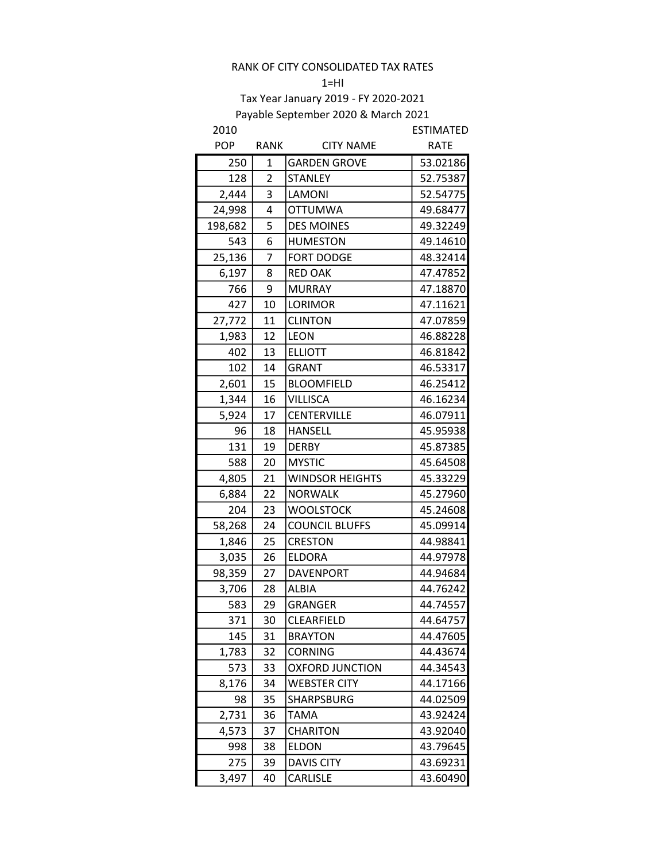#### $1=HI$

| 2010       |                |                        | <b>ESTIMATED</b> |
|------------|----------------|------------------------|------------------|
| <b>POP</b> | RANK           | <b>CITY NAME</b>       | <b>RATE</b>      |
| 250        | 1              | <b>GARDEN GROVE</b>    | 53.02186         |
| 128        | $\overline{2}$ | <b>STANLEY</b>         | 52.75387         |
| 2,444      | 3              | LAMONI                 | 52.54775         |
| 24,998     | 4              | <b>OTTUMWA</b>         | 49.68477         |
| 198,682    | 5              | <b>DES MOINES</b>      | 49.32249         |
| 543        | 6              | <b>HUMESTON</b>        | 49.14610         |
| 25,136     | 7              | <b>FORT DODGE</b>      | 48.32414         |
| 6,197      | 8              | <b>RED OAK</b>         | 47.47852         |
| 766        | 9              | <b>MURRAY</b>          | 47.18870         |
| 427        | 10             | LORIMOR                | 47.11621         |
| 27,772     | 11             | <b>CLINTON</b>         | 47.07859         |
| 1,983      | 12             | <b>LEON</b>            | 46.88228         |
| 402        | 13             | <b>ELLIOTT</b>         | 46.81842         |
| 102        | 14             | <b>GRANT</b>           | 46.53317         |
| 2,601      | 15             | <b>BLOOMFIELD</b>      | 46.25412         |
| 1,344      | 16             | <b>VILLISCA</b>        | 46.16234         |
| 5,924      | 17             | <b>CENTERVILLE</b>     | 46.07911         |
| 96         | 18             | <b>HANSELL</b>         | 45.95938         |
| 131        | 19             | <b>DERBY</b>           | 45.87385         |
| 588        | 20             | <b>MYSTIC</b>          | 45.64508         |
| 4,805      | 21             | <b>WINDSOR HEIGHTS</b> | 45.33229         |
| 6,884      | 22             | <b>NORWALK</b>         | 45.27960         |
| 204        | 23             | <b>WOOLSTOCK</b>       | 45.24608         |
| 58,268     | 24             | <b>COUNCIL BLUFFS</b>  | 45.09914         |
| 1,846      | 25             | <b>CRESTON</b>         | 44.98841         |
| 3,035      | 26             | <b>ELDORA</b>          | 44.97978         |
| 98,359     | 27             | <b>DAVENPORT</b>       | 44.94684         |
| 3,706      | 28             | <b>ALBIA</b>           | 44.76242         |
| 583        | 29             | <b>GRANGER</b>         | 44.74557         |
| 371        | 30             | CLEARFIELD             | 44.64757         |
| 145        | 31             | <b>BRAYTON</b>         | 44.47605         |
| 1,783      | 32             | CORNING                | 44.43674         |
| 573        | 33             | <b>OXFORD JUNCTION</b> | 44.34543         |
| 8,176      | 34             | WEBSTER CITY           | 44.17166         |
| 98         | 35             | SHARPSBURG             | 44.02509         |
| 2,731      | 36             | TAMA                   | 43.92424         |
| 4,573      | 37             | <b>CHARITON</b>        | 43.92040         |
| 998        | 38             | ELDON                  | 43.79645         |
| 275        | 39             | <b>DAVIS CITY</b>      | 43.69231         |
| 3,497      | 40             | CARLISLE               | 43.60490         |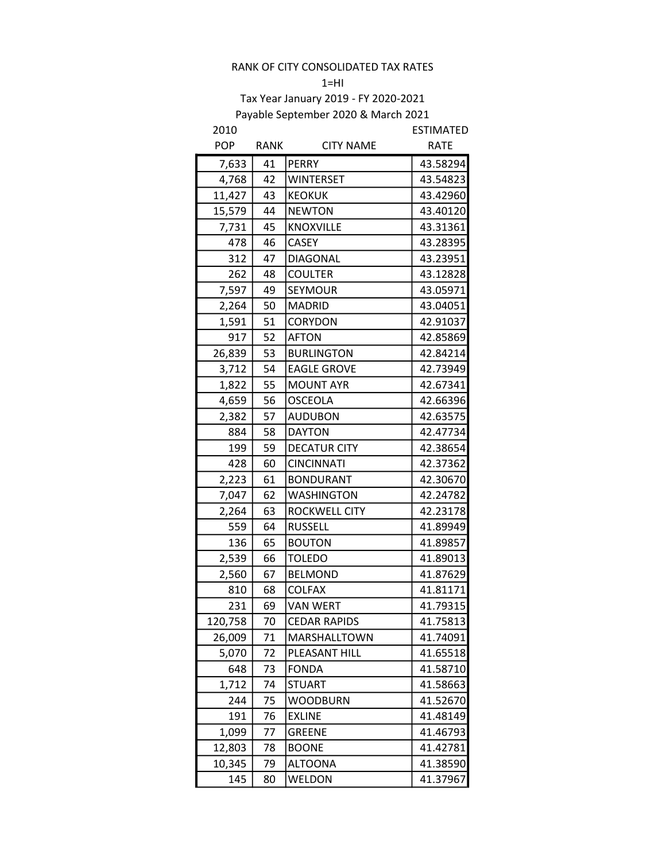$1=HI$ 

| 2010       |             |                     | <b>ESTIMATED</b> |
|------------|-------------|---------------------|------------------|
| <b>POP</b> | <b>RANK</b> | <b>CITY NAME</b>    | <b>RATE</b>      |
| 7,633      | 41          | <b>PERRY</b>        | 43.58294         |
| 4,768      | 42          | <b>WINTERSET</b>    | 43.54823         |
| 11,427     | 43          | <b>KEOKUK</b>       | 43.42960         |
| 15,579     | 44          | <b>NEWTON</b>       | 43.40120         |
| 7,731      | 45          | <b>KNOXVILLE</b>    | 43.31361         |
| 478        | 46          | <b>CASEY</b>        | 43.28395         |
| 312        | 47          | <b>DIAGONAL</b>     | 43.23951         |
| 262        | 48          | <b>COULTER</b>      | 43.12828         |
| 7,597      | 49          | SEYMOUR             | 43.05971         |
| 2,264      | 50          | <b>MADRID</b>       | 43.04051         |
| 1,591      | 51          | CORYDON             | 42.91037         |
| 917        | 52          | <b>AFTON</b>        | 42.85869         |
| 26,839     | 53          | <b>BURLINGTON</b>   | 42.84214         |
| 3,712      | 54          | <b>EAGLE GROVE</b>  | 42.73949         |
| 1,822      | 55          | <b>MOUNT AYR</b>    | 42.67341         |
| 4,659      | 56          | <b>OSCEOLA</b>      | 42.66396         |
| 2,382      | 57          | <b>AUDUBON</b>      | 42.63575         |
| 884        | 58          | <b>DAYTON</b>       | 42.47734         |
| 199        | 59          | <b>DECATUR CITY</b> | 42.38654         |
| 428        | 60          | <b>CINCINNATI</b>   | 42.37362         |
| 2,223      | 61          | <b>BONDURANT</b>    | 42.30670         |
| 7,047      | 62          | <b>WASHINGTON</b>   | 42.24782         |
| 2,264      | 63          | ROCKWELL CITY       | 42.23178         |
| 559        | 64          | <b>RUSSELL</b>      | 41.89949         |
| 136        | 65          | <b>BOUTON</b>       | 41.89857         |
| 2,539      | 66          | <b>TOLEDO</b>       | 41.89013         |
| 2,560      | 67          | <b>BELMOND</b>      | 41.87629         |
| 810        | 68          | <b>COLFAX</b>       | 41.81171         |
| 231        | 69          | <b>VAN WERT</b>     | 41.79315         |
| 120,758    | 70          | <b>CEDAR RAPIDS</b> | 41.75813         |
| 26,009     | 71          | MARSHALLTOWN        | 41.74091         |
| 5,070      | 72          | PLEASANT HILL       | 41.65518         |
| 648        | 73          | <b>FONDA</b>        | 41.58710         |
| 1,712      | 74          | <b>STUART</b>       | 41.58663         |
| 244        | 75          | <b>WOODBURN</b>     | 41.52670         |
| 191        | 76          | <b>EXLINE</b>       | 41.48149         |
| 1,099      | 77          | <b>GREENE</b>       | 41.46793         |
| 12,803     | 78          | <b>BOONE</b>        | 41.42781         |
| 10,345     | 79          | <b>ALTOONA</b>      | 41.38590         |
| 145        | 80          | WELDON              | 41.37967         |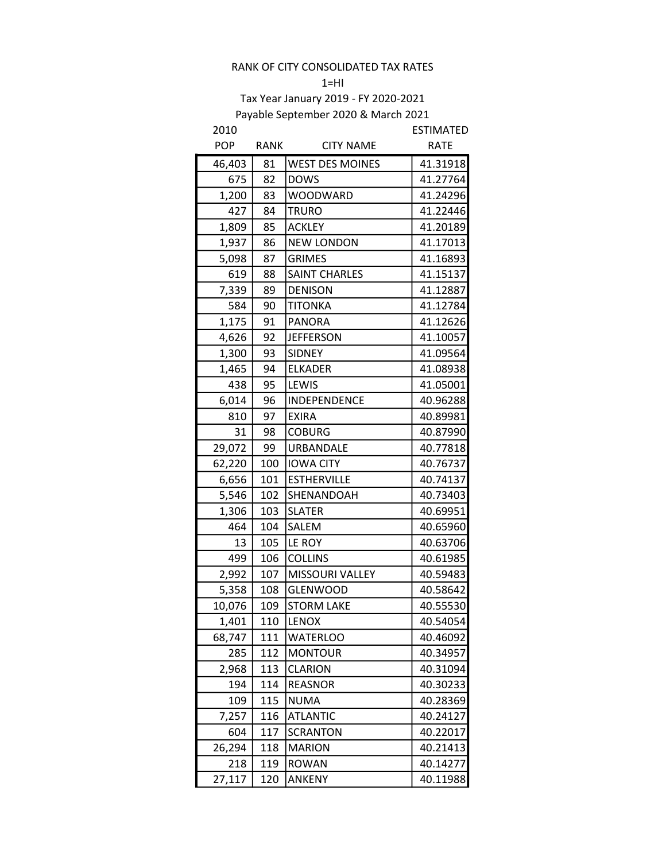# $1=HI$

| 2010       |             |                        | <b>ESTIMATED</b> |
|------------|-------------|------------------------|------------------|
| <b>POP</b> | <b>RANK</b> | <b>CITY NAME</b>       | <b>RATE</b>      |
| 46,403     | 81          | <b>WEST DES MOINES</b> | 41.31918         |
| 675        | 82          | <b>DOWS</b>            | 41.27764         |
| 1,200      | 83          | <b>WOODWARD</b>        | 41.24296         |
| 427        | 84          | <b>TRURO</b>           | 41.22446         |
| 1,809      | 85          | <b>ACKLEY</b>          | 41.20189         |
| 1,937      | 86          | <b>NEW LONDON</b>      | 41.17013         |
| 5,098      | 87          | <b>GRIMES</b>          | 41.16893         |
| 619        | 88          | <b>SAINT CHARLES</b>   | 41.15137         |
| 7,339      | 89          | <b>DENISON</b>         | 41.12887         |
| 584        | 90          | <b>TITONKA</b>         | 41.12784         |
| 1,175      | 91          | <b>PANORA</b>          | 41.12626         |
| 4,626      | 92          | <b>JEFFERSON</b>       | 41.10057         |
| 1,300      | 93          | <b>SIDNEY</b>          | 41.09564         |
| 1,465      | 94          | <b>ELKADER</b>         | 41.08938         |
| 438        | 95          | LEWIS                  | 41.05001         |
| 6,014      | 96          | INDEPENDENCE           | 40.96288         |
| 810        | 97          | <b>EXIRA</b>           | 40.89981         |
| 31         | 98          | <b>COBURG</b>          | 40.87990         |
| 29,072     | 99          | URBANDALE              | 40.77818         |
| 62,220     | 100         | <b>IOWA CITY</b>       | 40.76737         |
| 6,656      | 101         | <b>ESTHERVILLE</b>     | 40.74137         |
| 5,546      | 102         | SHENANDOAH             | 40.73403         |
| 1,306      | 103         | <b>SLATER</b>          | 40.69951         |
| 464        | 104         | SALEM                  | 40.65960         |
| 13         | 105         | LE ROY                 | 40.63706         |
| 499        | 106         | <b>COLLINS</b>         | 40.61985         |
| 2,992      | 107         | <b>MISSOURI VALLEY</b> | 40.59483         |
| 5,358      | 108         | <b>GLENWOOD</b>        | 40.58642         |
| 10,076     | 109         | <b>STORM LAKE</b>      | 40.55530         |
| 1,401      | 110         | <b>LENOX</b>           | 40.54054         |
| 68,747     | 111         | <b>WATERLOO</b>        | 40.46092         |
| 285        | 112         | <b>MONTOUR</b>         | 40.34957         |
| 2,968      | 113         | <b>CLARION</b>         | 40.31094         |
| 194        | 114         | <b>REASNOR</b>         | 40.30233         |
| 109        | 115         | NUMA                   | 40.28369         |
| 7,257      | 116         | <b>ATLANTIC</b>        | 40.24127         |
| 604        | 117         | <b>SCRANTON</b>        | 40.22017         |
| 26,294     | 118         | <b>MARION</b>          | 40.21413         |
| 218        | 119         | <b>ROWAN</b>           | 40.14277         |
| 27,117     | 120         | ANKENY                 | 40.11988         |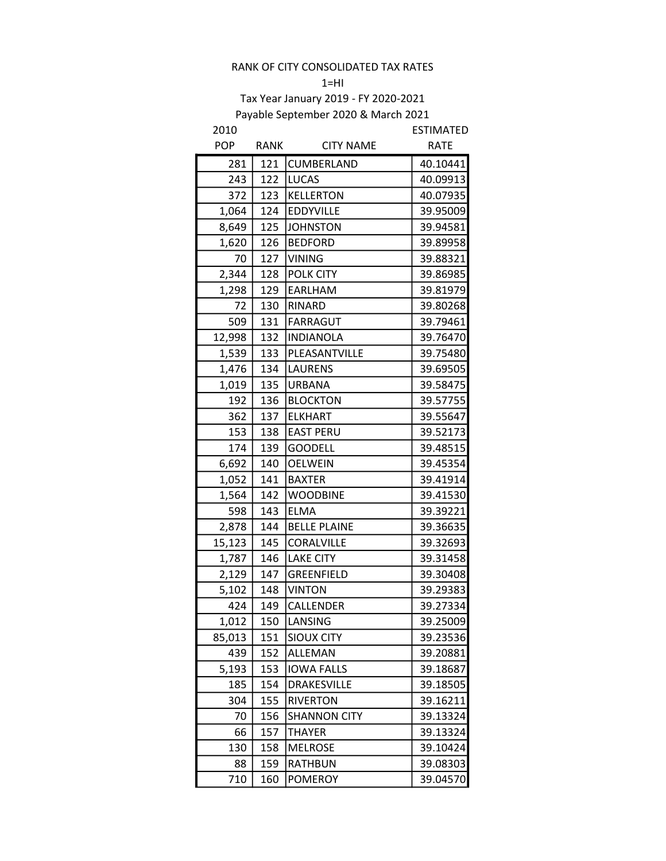#### $1=$ HI

| 2010       |      |                     | <b>ESTIMATED</b> |
|------------|------|---------------------|------------------|
| <b>POP</b> | RANK | <b>CITY NAME</b>    | <b>RATE</b>      |
| 281        | 121  | CUMBERLAND          | 40.10441         |
| 243        | 122  | <b>LUCAS</b>        | 40.09913         |
| 372        | 123  | <b>KELLERTON</b>    | 40.07935         |
| 1,064      | 124  | <b>EDDYVILLE</b>    | 39.95009         |
| 8,649      | 125  | <b>JOHNSTON</b>     | 39.94581         |
| 1,620      | 126  | <b>BEDFORD</b>      | 39.89958         |
| 70         | 127  | <b>VINING</b>       | 39.88321         |
| 2,344      | 128  | <b>POLK CITY</b>    | 39.86985         |
| 1,298      | 129  | EARLHAM             | 39.81979         |
| 72         | 130  | RINARD              | 39.80268         |
| 509        | 131  | <b>FARRAGUT</b>     | 39.79461         |
| 12,998     | 132  | <b>INDIANOLA</b>    | 39.76470         |
| 1,539      | 133  | PLEASANTVILLE       | 39.75480         |
| 1,476      | 134  | <b>LAURENS</b>      | 39.69505         |
| 1,019      | 135  | <b>URBANA</b>       | 39.58475         |
| 192        | 136  | <b>BLOCKTON</b>     | 39.57755         |
| 362        | 137  | <b>ELKHART</b>      | 39.55647         |
| 153        | 138  | <b>EAST PERU</b>    | 39.52173         |
| 174        | 139  | <b>GOODELL</b>      | 39.48515         |
| 6,692      | 140  | <b>OELWEIN</b>      | 39.45354         |
| 1,052      | 141  | <b>BAXTER</b>       | 39.41914         |
| 1,564      | 142  | <b>WOODBINE</b>     | 39.41530         |
| 598        | 143  | <b>ELMA</b>         | 39.39221         |
| 2,878      | 144  | <b>BELLE PLAINE</b> | 39.36635         |
| 15,123     | 145  | CORALVILLE          | 39.32693         |
| 1,787      | 146  | <b>LAKE CITY</b>    | 39.31458         |
| 2,129      | 147  | <b>GREENFIELD</b>   | 39.30408         |
| 5,102      | 148  | <b>VINTON</b>       | 39.29383         |
| 424        | 149  | CALLENDER           | 39.27334         |
| 1,012      | 150  | LANSING             | 39.25009         |
| 85,013     | 151  | <b>SIOUX CITY</b>   | 39.23536         |
| 439        | 152  | ALLEMAN             | 39.20881         |
| 5,193      | 153  | <b>IOWA FALLS</b>   | 39.18687         |
| 185        | 154  | <b>DRAKESVILLE</b>  | 39.18505         |
| 304        | 155  | <b>RIVERTON</b>     | 39.16211         |
| 70         | 156  | <b>SHANNON CITY</b> | 39.13324         |
| 66         | 157  | <b>THAYER</b>       | 39.13324         |
| 130        | 158  | <b>MELROSE</b>      | 39.10424         |
| 88         | 159  | RATHBUN             | 39.08303         |
| 710        | 160  | <b>POMEROY</b>      | 39.04570         |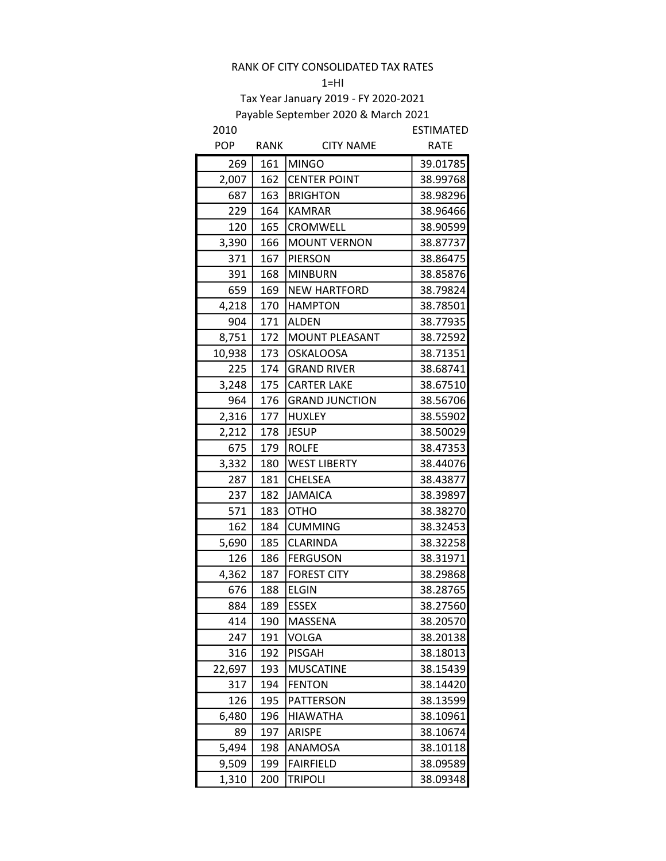#### $1=HI$

| 2010       |      |                       | <b>ESTIMATED</b> |
|------------|------|-----------------------|------------------|
| <b>POP</b> | RANK | <b>CITY NAME</b>      | <b>RATE</b>      |
| 269        | 161  | <b>MINGO</b>          | 39.01785         |
| 2,007      | 162  | <b>CENTER POINT</b>   | 38.99768         |
| 687        | 163  | <b>BRIGHTON</b>       | 38.98296         |
| 229        | 164  | <b>KAMRAR</b>         | 38.96466         |
| 120        | 165  | CROMWELL              | 38.90599         |
| 3,390      | 166  | <b>MOUNT VERNON</b>   | 38.87737         |
| 371        | 167  | <b>PIERSON</b>        | 38.86475         |
| 391        | 168  | <b>MINBURN</b>        | 38.85876         |
| 659        | 169  | <b>NEW HARTFORD</b>   | 38.79824         |
| 4,218      | 170  | <b>HAMPTON</b>        | 38.78501         |
| 904        | 171  | <b>ALDEN</b>          | 38.77935         |
| 8,751      | 172  | <b>MOUNT PLEASANT</b> | 38.72592         |
| 10,938     | 173  | <b>OSKALOOSA</b>      | 38.71351         |
| 225        | 174  | <b>GRAND RIVER</b>    | 38.68741         |
| 3,248      | 175  | <b>CARTER LAKE</b>    | 38.67510         |
| 964        | 176  | <b>GRAND JUNCTION</b> | 38.56706         |
| 2,316      | 177  | <b>HUXLEY</b>         | 38.55902         |
| 2,212      | 178  | <b>JESUP</b>          | 38.50029         |
| 675        | 179  | <b>ROLFE</b>          | 38.47353         |
| 3,332      | 180  | <b>WEST LIBERTY</b>   | 38.44076         |
| 287        | 181  | <b>CHELSEA</b>        | 38.43877         |
| 237        | 182  | <b>JAMAICA</b>        | 38.39897         |
| 571        | 183  | <b>OTHO</b>           | 38.38270         |
| 162        | 184  | <b>CUMMING</b>        | 38.32453         |
| 5,690      | 185  | CLARINDA              | 38.32258         |
| 126        | 186  | <b>FERGUSON</b>       | 38.31971         |
| 4,362      | 187  | <b>FOREST CITY</b>    | 38.29868         |
| 676        | 188  | <b>ELGIN</b>          | 38.28765         |
| 884        | 189  | <b>ESSEX</b>          | 38.27560         |
| 414        | 190  | MASSENA               | 38.20570         |
| 247        | 191  | <b>VOLGA</b>          | 38.20138         |
| 316        | 192  | <b>PISGAH</b>         | 38.18013         |
| 22,697     | 193  | <b>MUSCATINE</b>      | 38.15439         |
| 317        | 194  | <b>FENTON</b>         | 38.14420         |
| 126        | 195  | <b>PATTERSON</b>      | 38.13599         |
| 6,480      | 196  | <b>HIAWATHA</b>       | 38.10961         |
| 89         | 197  | ARISPE                | 38.10674         |
| 5,494      | 198  | ANAMOSA               | 38.10118         |
| 9,509      | 199  | <b>FAIRFIELD</b>      | 38.09589         |
| 1,310      | 200  | <b>TRIPOLI</b>        | 38.09348         |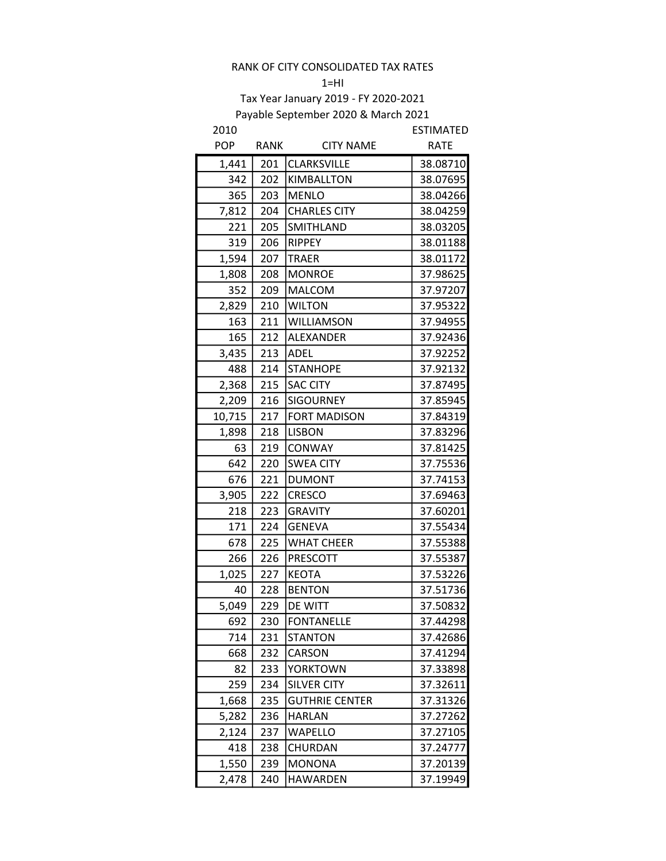#### $1=$ HI

| 2010       |             |                       | ESTIMATED   |
|------------|-------------|-----------------------|-------------|
| <b>POP</b> | <b>RANK</b> | <b>CITY NAME</b>      | <b>RATE</b> |
| 1,441      | 201         | CLARKSVILLE           | 38.08710    |
| 342        | 202         | KIMBALLTON            | 38.07695    |
| 365        | 203         | <b>MENLO</b>          | 38.04266    |
| 7,812      | 204         | <b>CHARLES CITY</b>   | 38.04259    |
| 221        | 205         | SMITHLAND             | 38.03205    |
| 319        | 206         | <b>RIPPEY</b>         | 38.01188    |
| 1,594      | 207         | <b>TRAER</b>          | 38.01172    |
| 1,808      | 208         | <b>MONROE</b>         | 37.98625    |
| 352        | 209         | <b>MALCOM</b>         | 37.97207    |
| 2,829      | 210         | <b>WILTON</b>         | 37.95322    |
| 163        | 211         | WILLIAMSON            | 37.94955    |
| 165        | 212         | ALEXANDER             | 37.92436    |
| 3,435      | 213         | <b>ADEL</b>           | 37.92252    |
| 488        | 214         | <b>STANHOPE</b>       | 37.92132    |
| 2,368      | 215         | <b>SAC CITY</b>       | 37.87495    |
| 2,209      | 216         | <b>SIGOURNEY</b>      | 37.85945    |
| 10,715     | 217         | <b>FORT MADISON</b>   | 37.84319    |
| 1,898      | 218         | <b>LISBON</b>         | 37.83296    |
| 63         | 219         | CONWAY                | 37.81425    |
| 642        | 220         | <b>SWEA CITY</b>      | 37.75536    |
| 676        | 221         | <b>DUMONT</b>         | 37.74153    |
| 3,905      | 222         | <b>CRESCO</b>         | 37.69463    |
| 218        | 223         | <b>GRAVITY</b>        | 37.60201    |
| 171        | 224         | <b>GENEVA</b>         | 37.55434    |
| 678        | 225         | <b>WHAT CHEER</b>     | 37.55388    |
| 266        | 226         | PRESCOTT              | 37.55387    |
| 1,025      | 227         | <b>KEOTA</b>          | 37.53226    |
| 40         | 228         | <b>BENTON</b>         | 37.51736    |
| 5,049      | 229         | DE WITT               | 37.50832    |
| 692        | 230         | <b>FONTANELLE</b>     | 37.44298    |
| 714        | 231         | <b>STANTON</b>        | 37.42686    |
| 668        | 232         | CARSON                | 37.41294    |
| 82         | 233         | <b>YORKTOWN</b>       | 37.33898    |
| 259        | 234         | <b>SILVER CITY</b>    | 37.32611    |
| 1,668      | 235         | <b>GUTHRIE CENTER</b> | 37.31326    |
| 5,282      | 236         | <b>HARLAN</b>         | 37.27262    |
| 2,124      | 237         | WAPELLO               | 37.27105    |
| 418        | 238         | CHURDAN               | 37.24777    |
| 1,550      | 239         | <b>MONONA</b>         | 37.20139    |
| 2,478      | 240         | <b>HAWARDEN</b>       | 37.19949    |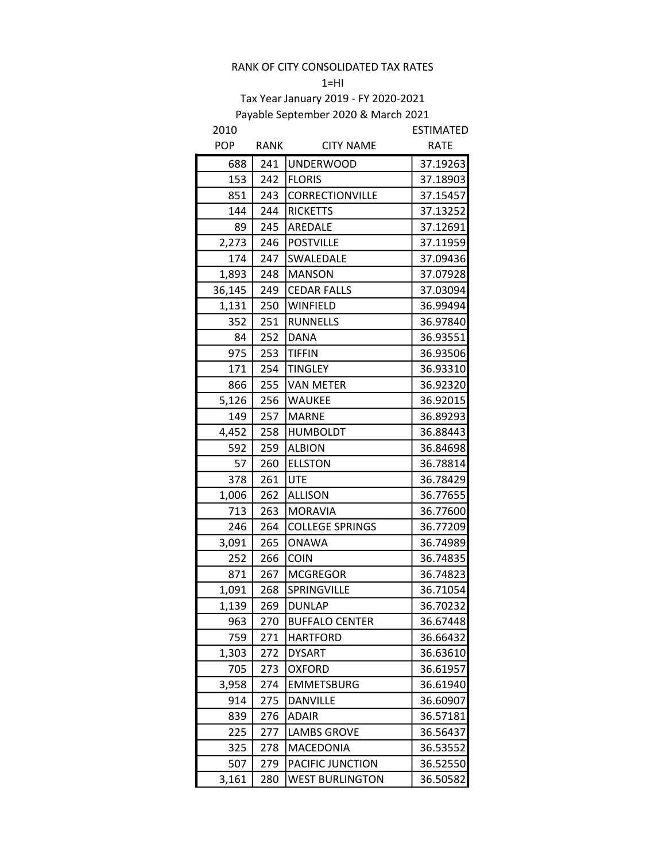#### $1=$ HI

| 2010       |      |                        | ESTIMATED   |
|------------|------|------------------------|-------------|
| <b>POP</b> | RANK | <b>CITY NAME</b>       | <b>RATE</b> |
| 688        | 241  | <b>UNDERWOOD</b>       | 37.19263    |
| 153        | 242  | <b>FLORIS</b>          | 37.18903    |
| 851        | 243  | CORRECTIONVILLE        | 37.15457    |
| 144        | 244  | <b>RICKETTS</b>        | 37.13252    |
| 89         | 245  | AREDALE                | 37.12691    |
| 2,273      | 246  | <b>POSTVILLE</b>       | 37.11959    |
| 174        | 247  | SWALEDALE              | 37.09436    |
| 1,893      | 248  | <b>MANSON</b>          | 37.07928    |
| 36,145     | 249  | <b>CEDAR FALLS</b>     | 37.03094    |
| 1,131      | 250  | <b>WINFIELD</b>        | 36.99494    |
| 352        | 251  | <b>RUNNELLS</b>        | 36.97840    |
| 84         | 252  | <b>DANA</b>            | 36.93551    |
| 975        | 253  | <b>TIFFIN</b>          | 36.93506    |
| 171        | 254  | <b>TINGLEY</b>         | 36.93310    |
| 866        | 255  | <b>VAN METER</b>       | 36.92320    |
| 5,126      | 256  | <b>WAUKEE</b>          | 36.92015    |
| 149        | 257  | <b>MARNE</b>           | 36.89293    |
| 4,452      | 258  | <b>HUMBOLDT</b>        | 36.88443    |
| 592        | 259  | <b>ALBION</b>          | 36.84698    |
| 57         | 260  | <b>ELLSTON</b>         | 36.78814    |
| 378        | 261  | <b>UTE</b>             | 36.78429    |
| 1,006      | 262  | <b>ALLISON</b>         | 36.77655    |
| 713        | 263  | <b>MORAVIA</b>         | 36.77600    |
| 246        | 264  | <b>COLLEGE SPRINGS</b> | 36.77209    |
| 3,091      | 265  | <b>ONAWA</b>           | 36.74989    |
| 252        | 266  | <b>COIN</b>            | 36.74835    |
| 871        | 267  | <b>MCGREGOR</b>        | 36.74823    |
| 1,091      | 268  | SPRINGVILLE            | 36.71054    |
| 1,139      | 269  | <b>DUNLAP</b>          | 36.70232    |
| 963        | 270  | <b>BUFFALO CENTER</b>  | 36.67448    |
| 759        | 271  | <b>HARTFORD</b>        | 36.66432    |
| 1,303      | 272  | <b>DYSART</b>          | 36.63610    |
| 705        | 273  | <b>OXFORD</b>          | 36.61957    |
| 3,958      | 274  | <b>EMMETSBURG</b>      | 36.61940    |
| 914        | 275  | <b>DANVILLE</b>        | 36.60907    |
| 839        | 276  | <b>ADAIR</b>           | 36.57181    |
| 225        | 277  | <b>LAMBS GROVE</b>     | 36.56437    |
| 325        | 278  | MACEDONIA              | 36.53552    |
| 507        | 279  | PACIFIC JUNCTION       | 36.52550    |
| 3,161      | 280  | <b>WEST BURLINGTON</b> | 36.50582    |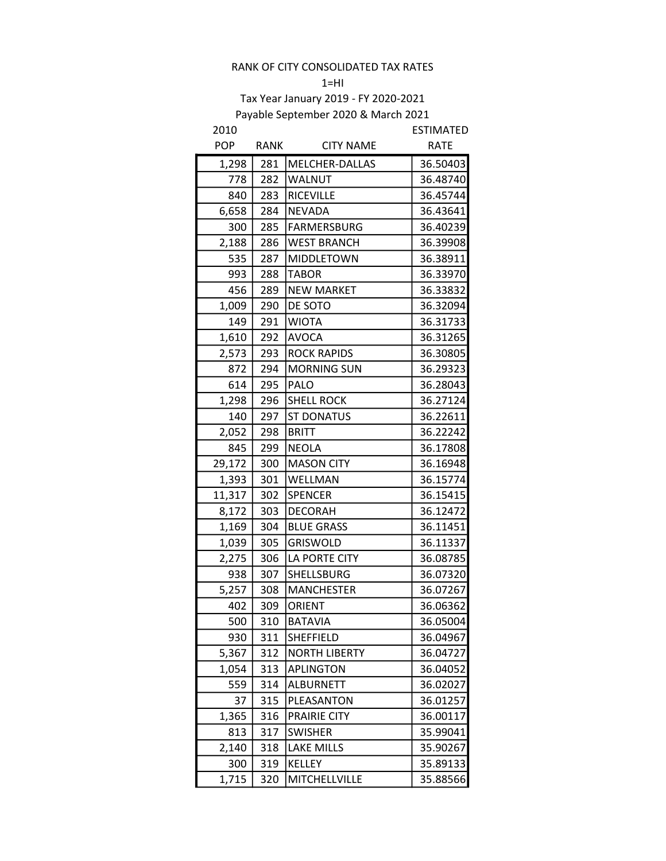#### $1=$ HI

| 2010       |             |                      | <b>ESTIMATED</b> |
|------------|-------------|----------------------|------------------|
| <b>POP</b> | <b>RANK</b> | <b>CITY NAME</b>     | <b>RATE</b>      |
| 1,298      | 281         | MELCHER-DALLAS       | 36.50403         |
| 778        | 282         | <b>WALNUT</b>        | 36.48740         |
| 840        | 283         | <b>RICEVILLE</b>     | 36.45744         |
| 6,658      | 284         | <b>NEVADA</b>        | 36.43641         |
| 300        | 285         | <b>FARMERSBURG</b>   | 36.40239         |
| 2,188      | 286         | <b>WEST BRANCH</b>   | 36.39908         |
| 535        | 287         | <b>MIDDLETOWN</b>    | 36.38911         |
| 993        | 288         | <b>TABOR</b>         | 36.33970         |
| 456        | 289         | <b>NEW MARKET</b>    | 36.33832         |
| 1,009      | 290         | DE SOTO              | 36.32094         |
| 149        | 291         | <b>WIOTA</b>         | 36.31733         |
| 1,610      | 292         | <b>AVOCA</b>         | 36.31265         |
| 2,573      | 293         | <b>ROCK RAPIDS</b>   | 36.30805         |
| 872        | 294         | <b>MORNING SUN</b>   | 36.29323         |
| 614        | 295         | <b>PALO</b>          | 36.28043         |
| 1,298      | 296         | <b>SHELL ROCK</b>    | 36.27124         |
| 140        | 297         | <b>ST DONATUS</b>    | 36.22611         |
| 2,052      | 298         | <b>BRITT</b>         | 36.22242         |
| 845        | 299         | <b>NEOLA</b>         | 36.17808         |
| 29,172     | 300         | <b>MASON CITY</b>    | 36.16948         |
| 1,393      | 301         | WELLMAN              | 36.15774         |
| 11,317     | 302         | <b>SPENCER</b>       | 36.15415         |
| 8,172      | 303         | <b>DECORAH</b>       | 36.12472         |
| 1,169      | 304         | <b>BLUE GRASS</b>    | 36.11451         |
| 1,039      | 305         | <b>GRISWOLD</b>      | 36.11337         |
| 2,275      | 306         | LA PORTE CITY        | 36.08785         |
| 938        | 307         | SHELLSBURG           | 36.07320         |
| 5,257      | 308         | <b>MANCHESTER</b>    | 36.07267         |
| 402        | 309         | <b>ORIENT</b>        | 36.06362         |
| 500        | 310         | <b>BATAVIA</b>       | 36.05004         |
| 930        | 311         | <b>SHEFFIELD</b>     | 36.04967         |
| 5,367      | 312         | <b>NORTH LIBERTY</b> | 36.04727         |
| 1,054      | 313         | APLINGTON            | 36.04052         |
| 559        | 314         | <b>ALBURNETT</b>     | 36.02027         |
| 37         | 315         | PLEASANTON           | 36.01257         |
| 1,365      | 316         | PRAIRIE CITY         | 36.00117         |
| 813        | 317         | <b>SWISHER</b>       | 35.99041         |
| 2,140      | 318         | LAKE MILLS           | 35.90267         |
| 300        | 319         | KELLEY               | 35.89133         |
| 1,715      | 320         | MITCHELLVILLE        | 35.88566         |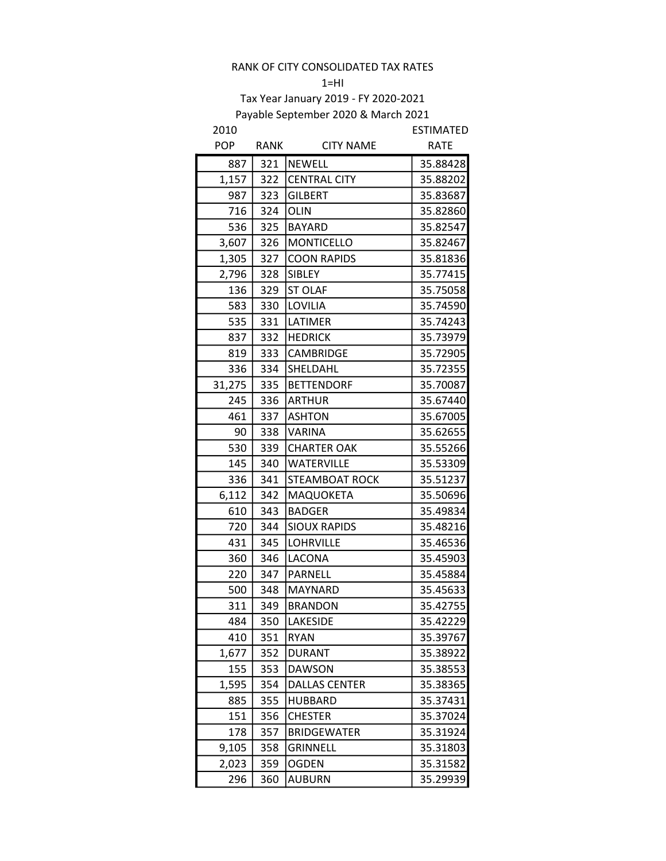#### $1=HI$

# Tax Year January 2019 - FY 2020-2021 Payable September 2020 & March 2021

| 2010       |      |                      | <b>ESTIMATED</b> |
|------------|------|----------------------|------------------|
| <b>POP</b> | RANK | <b>CITY NAME</b>     | <b>RATE</b>      |
| 887        | 321  | <b>NEWELL</b>        | 35.88428         |
| 1,157      | 322  | <b>CENTRAL CITY</b>  | 35.88202         |
| 987        | 323  | <b>GILBERT</b>       | 35.83687         |
| 716        | 324  | <b>OLIN</b>          | 35.82860         |
| 536        | 325  | <b>BAYARD</b>        | 35.82547         |
| 3,607      | 326  | <b>MONTICELLO</b>    | 35.82467         |
| 1,305      | 327  | <b>COON RAPIDS</b>   | 35.81836         |
| 2,796      | 328  | <b>SIBLEY</b>        | 35.77415         |
| 136        | 329  | <b>ST OLAF</b>       | 35.75058         |
| 583        | 330  | <b>LOVILIA</b>       | 35.74590         |
| 535        | 331  | LATIMER              | 35.74243         |
| 837        | 332  | <b>HEDRICK</b>       | 35.73979         |
| 819        | 333  | <b>CAMBRIDGE</b>     | 35.72905         |
| 336        | 334  | SHELDAHL             | 35.72355         |
| 31,275     | 335  | <b>BETTENDORF</b>    | 35.70087         |
| 245        | 336  | <b>ARTHUR</b>        | 35.67440         |
| 461        | 337  | <b>ASHTON</b>        | 35.67005         |
| 90         | 338  | <b>VARINA</b>        | 35.62655         |
| 530        | 339  | <b>CHARTER OAK</b>   | 35.55266         |
| 145        | 340  | <b>WATERVILLE</b>    | 35.53309         |
| 336        | 341  | STEAMBOAT ROCK       | 35.51237         |
| 6,112      | 342  | MAQUOKETA            | 35.50696         |
| 610        | 343  | <b>BADGER</b>        | 35.49834         |
| 720        | 344  | <b>SIOUX RAPIDS</b>  | 35.48216         |
| 431        | 345  | <b>LOHRVILLE</b>     | 35.46536         |
| 360        | 346  | LACONA               | 35.45903         |
| 220        | 347  | <b>PARNELL</b>       | 35.45884         |
| 500        | 348  | <b>MAYNARD</b>       | 35.45633         |
| 311        | 349  | <b>BRANDON</b>       | 35.42755         |
| 484        | 350  | LAKESIDE             | 35.42229         |
| 410        | 351  | <b>RYAN</b>          | 35.39767         |
| 1,677      | 352  | <b>DURANT</b>        | 35.38922         |
| 155        | 353  | <b>DAWSON</b>        | 35.38553         |
| 1,595      | 354  | <b>DALLAS CENTER</b> | 35.38365         |
| 885        | 355  | HUBBARD              | 35.37431         |
| 151        | 356  | <b>CHESTER</b>       | 35.37024         |
| 178        | 357  | <b>BRIDGEWATER</b>   | 35.31924         |
| 9,105      | 358  | <b>GRINNELL</b>      | 35.31803         |
| 2,023      | 359  | <b>OGDEN</b>         | 35.31582         |
| 296        | 360  | <b>AUBURN</b>        | 35.29939         |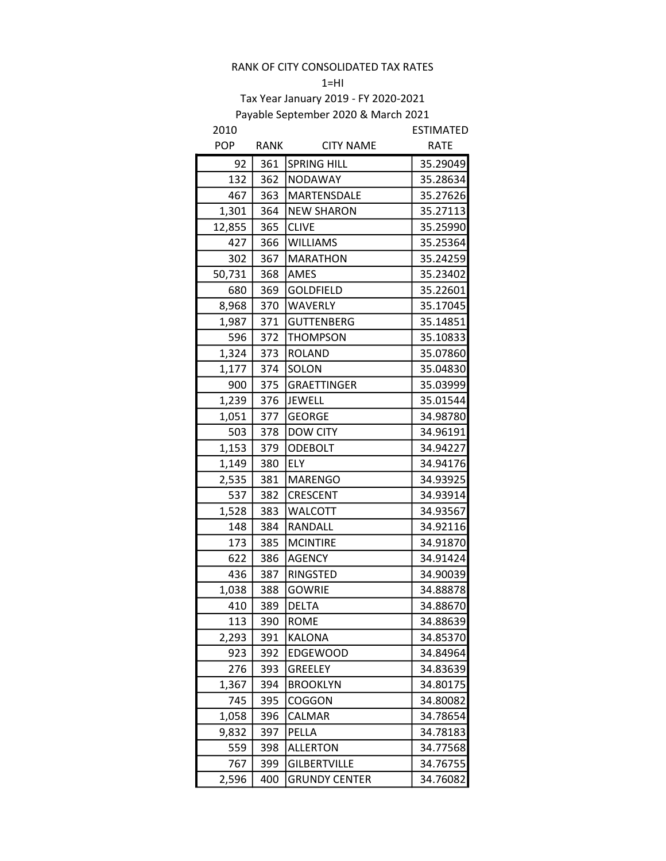#### $1=$ HI

| 2010       |      |                      | ESTIMATED   |
|------------|------|----------------------|-------------|
| <b>POP</b> | RANK | <b>CITY NAME</b>     | <b>RATE</b> |
| 92         | 361  | <b>SPRING HILL</b>   | 35.29049    |
| 132        | 362  | <b>NODAWAY</b>       | 35.28634    |
| 467        | 363  | MARTENSDALE          | 35.27626    |
| 1,301      | 364  | <b>NEW SHARON</b>    | 35.27113    |
| 12,855     | 365  | <b>CLIVE</b>         | 35.25990    |
| 427        | 366  | <b>WILLIAMS</b>      | 35.25364    |
| 302        | 367  | <b>MARATHON</b>      | 35.24259    |
| 50,731     | 368  | AMES                 | 35.23402    |
| 680        | 369  | <b>GOLDFIELD</b>     | 35.22601    |
| 8,968      | 370  | <b>WAVERLY</b>       | 35.17045    |
| 1,987      | 371  | <b>GUTTENBERG</b>    | 35.14851    |
| 596        | 372  | <b>THOMPSON</b>      | 35.10833    |
| 1,324      | 373  | <b>ROLAND</b>        | 35.07860    |
| 1,177      | 374  | SOLON                | 35.04830    |
| 900        | 375  | <b>GRAETTINGER</b>   | 35.03999    |
| 1,239      | 376  | <b>JEWELL</b>        | 35.01544    |
| 1,051      | 377  | <b>GEORGE</b>        | 34.98780    |
| 503        | 378  | <b>DOW CITY</b>      | 34.96191    |
| 1,153      | 379  | <b>ODEBOLT</b>       | 34.94227    |
| 1,149      | 380  | <b>ELY</b>           | 34.94176    |
| 2,535      | 381  | <b>MARENGO</b>       | 34.93925    |
| 537        | 382  | CRESCENT             | 34.93914    |
| 1,528      | 383  | <b>WALCOTT</b>       | 34.93567    |
| 148        | 384  | RANDALL              | 34.92116    |
| 173        | 385  | <b>MCINTIRE</b>      | 34.91870    |
| 622        | 386  | <b>AGENCY</b>        | 34.91424    |
| 436        | 387  | <b>RINGSTED</b>      | 34.90039    |
| 1,038      | 388  | <b>GOWRIE</b>        | 34.88878    |
| 410        | 389  | <b>DELTA</b>         | 34.88670    |
| 113        | 390  | <b>ROME</b>          | 34.88639    |
| 2,293      | 391  | <b>KALONA</b>        | 34.85370    |
| 923        | 392  | <b>EDGEWOOD</b>      | 34.84964    |
| 276        | 393  | GREELEY              | 34.83639    |
| 1,367      | 394  | <b>BROOKLYN</b>      | 34.80175    |
| 745        | 395  | COGGON               | 34.80082    |
| 1,058      | 396  | CALMAR               | 34.78654    |
| 9,832      | 397  | PELLA                | 34.78183    |
| 559        | 398  | <b>ALLERTON</b>      | 34.77568    |
| 767        | 399  | <b>GILBERTVILLE</b>  | 34.76755    |
| 2,596      | 400  | <b>GRUNDY CENTER</b> | 34.76082    |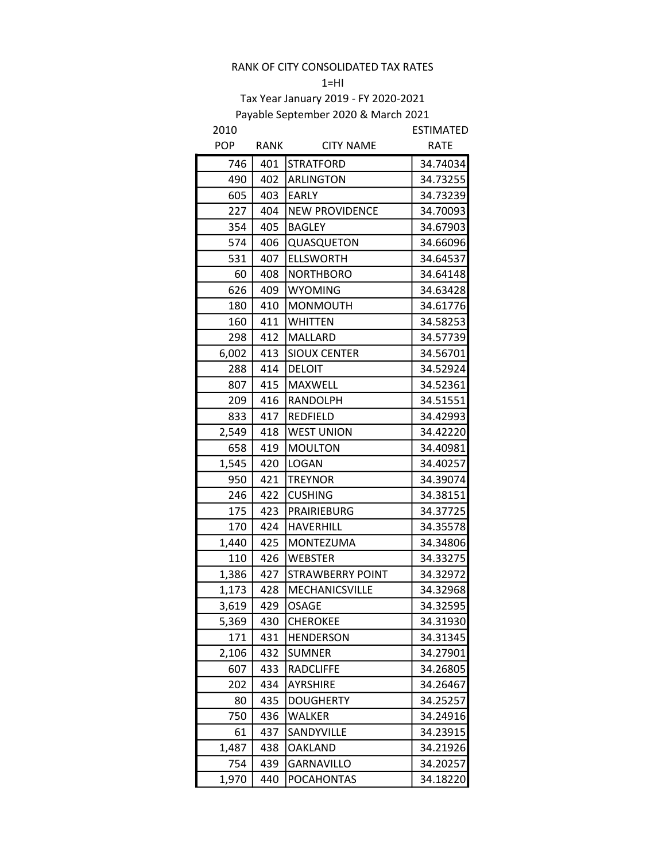#### $1=$ HI

| 2010       |      |                         | <b>ESTIMATED</b> |
|------------|------|-------------------------|------------------|
| <b>POP</b> | RANK | <b>CITY NAME</b>        | <b>RATE</b>      |
| 746        | 401  | <b>STRATFORD</b>        | 34.74034         |
| 490        | 402  | <b>ARLINGTON</b>        | 34.73255         |
| 605        | 403  | <b>EARLY</b>            | 34.73239         |
| 227        | 404  | <b>NEW PROVIDENCE</b>   | 34.70093         |
| 354        | 405  | <b>BAGLEY</b>           | 34.67903         |
| 574        | 406  | QUASQUETON              | 34.66096         |
| 531        | 407  | <b>ELLSWORTH</b>        | 34.64537         |
| 60         | 408  | <b>NORTHBORO</b>        | 34.64148         |
| 626        | 409  | <b>WYOMING</b>          | 34.63428         |
| 180        | 410  | <b>MONMOUTH</b>         | 34.61776         |
| 160        | 411  | <b>WHITTEN</b>          | 34.58253         |
| 298        | 412  | MALLARD                 | 34.57739         |
| 6,002      | 413  | <b>SIOUX CENTER</b>     | 34.56701         |
| 288        | 414  | <b>DELOIT</b>           | 34.52924         |
| 807        | 415  | <b>MAXWELL</b>          | 34.52361         |
| 209        | 416  | RANDOLPH                | 34.51551         |
| 833        | 417  | <b>REDFIELD</b>         | 34.42993         |
| 2,549      | 418  | <b>WEST UNION</b>       | 34.42220         |
| 658        | 419  | <b>MOULTON</b>          | 34.40981         |
| 1,545      | 420  | <b>LOGAN</b>            | 34.40257         |
| 950        | 421  | <b>TREYNOR</b>          | 34.39074         |
| 246        | 422  | <b>CUSHING</b>          | 34.38151         |
| 175        | 423  | PRAIRIEBURG             | 34.37725         |
| 170        | 424  | <b>HAVERHILL</b>        | 34.35578         |
| 1,440      | 425  | <b>MONTEZUMA</b>        | 34.34806         |
| 110        | 426  | <b>WEBSTER</b>          | 34.33275         |
| 1,386      | 427  | <b>STRAWBERRY POINT</b> | 34.32972         |
| 1,173      | 428  | MECHANICSVILLE          | 34.32968         |
| 3,619      | 429  | <b>OSAGE</b>            | 34.32595         |
| 5,369      | 430  | <b>CHEROKEE</b>         | 34.31930         |
| 171        | 431  | HENDERSON               | 34.31345         |
| 2,106      | 432  | <b>SUMNER</b>           | 34.27901         |
| 607        | 433  | RADCLIFFE               | 34.26805         |
| 202        | 434  | AYRSHIRE                | 34.26467         |
| 80         | 435  | DOUGHERTY               | 34.25257         |
| 750        | 436  | WALKER                  | 34.24916         |
| 61         | 437  | SANDYVILLE              | 34.23915         |
| 1,487      | 438  | OAKLAND                 | 34.21926         |
| 754        | 439  | <b>GARNAVILLO</b>       | 34.20257         |
| 1,970      | 440  | <b>POCAHONTAS</b>       | 34.18220         |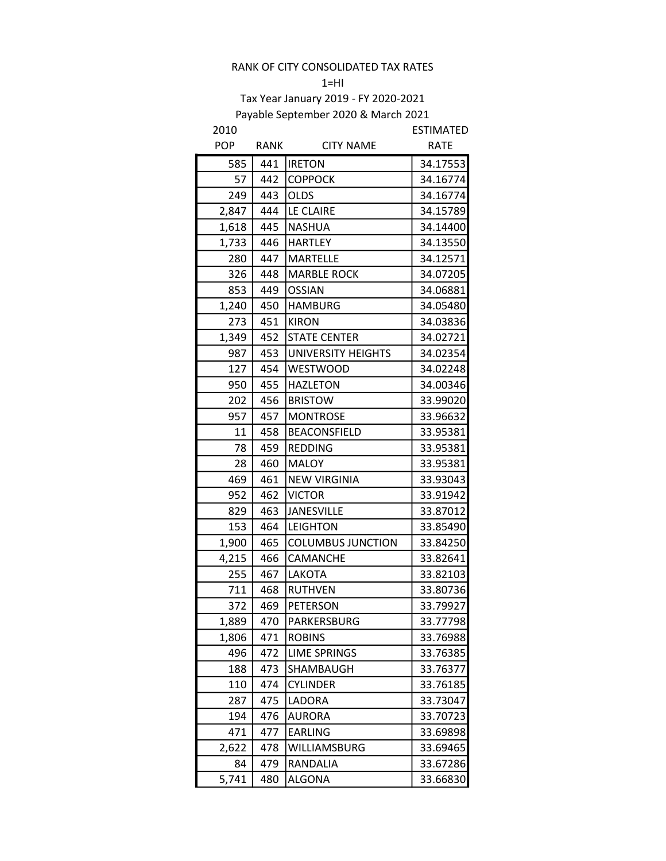$1=HI$ 

| 2010       |      |                          | <b>ESTIMATED</b> |
|------------|------|--------------------------|------------------|
| <b>POP</b> | RANK | <b>CITY NAME</b>         | <b>RATE</b>      |
| 585        | 441  | <b>IRETON</b>            | 34.17553         |
| 57         | 442  | <b>COPPOCK</b>           | 34.16774         |
| 249        | 443  | <b>OLDS</b>              | 34.16774         |
| 2,847      | 444  | LE CLAIRE                | 34.15789         |
| 1,618      | 445  | <b>NASHUA</b>            | 34.14400         |
| 1,733      | 446  | <b>HARTLEY</b>           | 34.13550         |
| 280        | 447  | <b>MARTELLE</b>          | 34.12571         |
| 326        | 448  | <b>MARBLE ROCK</b>       | 34.07205         |
| 853        | 449  | <b>OSSIAN</b>            | 34.06881         |
| 1,240      | 450  | <b>HAMBURG</b>           | 34.05480         |
| 273        | 451  | <b>KIRON</b>             | 34.03836         |
| 1,349      | 452  | <b>STATE CENTER</b>      | 34.02721         |
| 987        | 453  | UNIVERSITY HEIGHTS       | 34.02354         |
| 127        | 454  | <b>WESTWOOD</b>          | 34.02248         |
| 950        | 455  | <b>HAZLETON</b>          | 34.00346         |
| 202        | 456  | <b>BRISTOW</b>           | 33.99020         |
| 957        | 457  | <b>MONTROSE</b>          | 33.96632         |
| 11         | 458  | <b>BEACONSFIELD</b>      | 33.95381         |
| 78         | 459  | <b>REDDING</b>           | 33.95381         |
| 28         | 460  | <b>MALOY</b>             | 33.95381         |
| 469        | 461  | <b>NEW VIRGINIA</b>      | 33.93043         |
| 952        | 462  | <b>VICTOR</b>            | 33.91942         |
| 829        | 463  | <b>JANESVILLE</b>        | 33.87012         |
| 153        | 464  | <b>LEIGHTON</b>          | 33.85490         |
| 1,900      | 465  | <b>COLUMBUS JUNCTION</b> | 33.84250         |
| 4,215      | 466  | CAMANCHE                 | 33.82641         |
| 255        | 467  | LAKOTA                   | 33.82103         |
| 711        | 468  | <b>RUTHVEN</b>           | 33.80736         |
| 372        | 469  | PETERSON                 | 33.79927         |
| 1,889      | 470  | PARKERSBURG              | 33.77798         |
| 1,806      | 471  | <b>ROBINS</b>            | 33.76988         |
| 496        | 472  | <b>LIME SPRINGS</b>      | 33.76385         |
| 188        | 473  | SHAMBAUGH                | 33.76377         |
| 110        | 474  | <b>CYLINDER</b>          | 33.76185         |
| 287        | 475  | LADORA                   | 33.73047         |
| 194        | 476  | <b>AURORA</b>            | 33.70723         |
| 471        | 477  | <b>EARLING</b>           | 33.69898         |
| 2,622      | 478  | WILLIAMSBURG             | 33.69465         |
| 84         | 479  | RANDALIA                 | 33.67286         |
| 5,741      | 480  | <b>ALGONA</b>            | 33.66830         |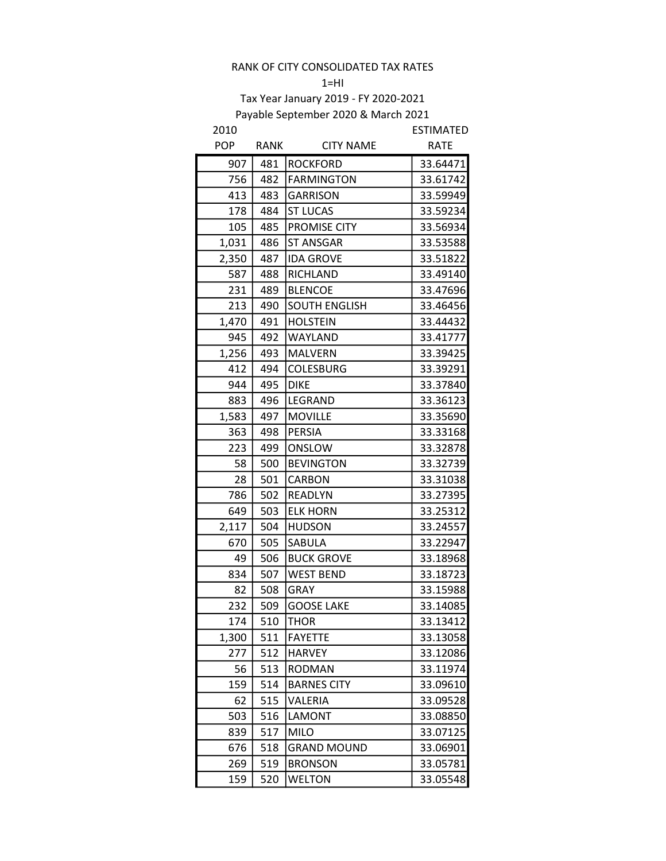#### $1=$ HI

| 2010       |      |                      | <b>ESTIMATED</b> |
|------------|------|----------------------|------------------|
| <b>POP</b> | RANK | <b>CITY NAME</b>     | <b>RATE</b>      |
| 907        | 481  | <b>ROCKFORD</b>      | 33.64471         |
| 756        | 482  | <b>FARMINGTON</b>    | 33.61742         |
| 413        | 483  | <b>GARRISON</b>      | 33.59949         |
| 178        | 484  | <b>ST LUCAS</b>      | 33.59234         |
| 105        | 485  | PROMISE CITY         | 33.56934         |
| 1,031      | 486  | <b>ST ANSGAR</b>     | 33.53588         |
| 2,350      | 487  | <b>IDA GROVE</b>     | 33.51822         |
| 587        | 488  | RICHLAND             | 33.49140         |
| 231        | 489  | <b>BLENCOE</b>       | 33.47696         |
| 213        | 490  | <b>SOUTH ENGLISH</b> | 33.46456         |
| 1,470      | 491  | <b>HOLSTEIN</b>      | 33.44432         |
| 945        | 492  | WAYLAND              | 33.41777         |
| 1,256      | 493  | <b>MALVERN</b>       | 33.39425         |
| 412        | 494  | COLESBURG            | 33.39291         |
| 944        | 495  | <b>DIKE</b>          | 33.37840         |
| 883        | 496  | <b>LEGRAND</b>       | 33.36123         |
| 1,583      | 497  | <b>MOVILLE</b>       | 33.35690         |
| 363        | 498  | <b>PERSIA</b>        | 33.33168         |
| 223        | 499  | ONSLOW               | 33.32878         |
| 58         | 500  | <b>BEVINGTON</b>     | 33.32739         |
| 28         | 501  | <b>CARBON</b>        | 33.31038         |
| 786        | 502  | <b>READLYN</b>       | 33.27395         |
| 649        | 503  | <b>ELK HORN</b>      | 33.25312         |
| 2,117      | 504  | <b>HUDSON</b>        | 33.24557         |
| 670        | 505  | SABULA               | 33.22947         |
| 49         | 506  | <b>BUCK GROVE</b>    | 33.18968         |
| 834        | 507  | <b>WEST BEND</b>     | 33.18723         |
| 82         | 508  | <b>GRAY</b>          | 33.15988         |
| 232        | 509  | <b>GOOSE LAKE</b>    | 33.14085         |
| 174        | 510  | <b>THOR</b>          | 33.13412         |
| 1,300      | 511  | <b>FAYETTE</b>       | 33.13058         |
| 277        | 512  | <b>HARVEY</b>        | 33.12086         |
| 56         | 513  | <b>RODMAN</b>        | 33.11974         |
| 159        | 514  | <b>BARNES CITY</b>   | 33.09610         |
| 62         | 515  | VALERIA              | 33.09528         |
| 503        | 516  | <b>LAMONT</b>        | 33.08850         |
| 839        | 517  | <b>MILO</b>          | 33.07125         |
| 676        | 518  | <b>GRAND MOUND</b>   | 33.06901         |
| 269        | 519  | <b>BRONSON</b>       | 33.05781         |
| 159        | 520  | <b>WELTON</b>        | 33.05548         |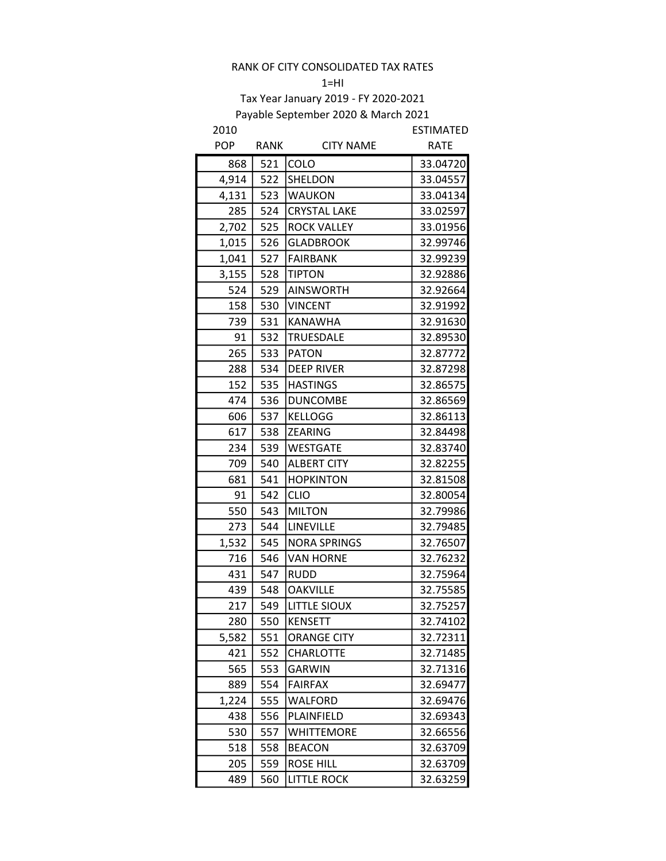#### $1=$ HI

| 2010       |             |                     | <b>ESTIMATED</b> |
|------------|-------------|---------------------|------------------|
| <b>POP</b> | <b>RANK</b> | <b>CITY NAME</b>    | <b>RATE</b>      |
| 868        | 521         | <b>COLO</b>         | 33.04720         |
| 4,914      | 522         | SHELDON             | 33.04557         |
| 4,131      | 523         | <b>WAUKON</b>       | 33.04134         |
| 285        | 524         | <b>CRYSTAL LAKE</b> | 33.02597         |
| 2,702      | 525         | <b>ROCK VALLEY</b>  | 33.01956         |
| 1,015      | 526         | <b>GLADBROOK</b>    | 32.99746         |
| 1,041      | 527         | <b>FAIRBANK</b>     | 32.99239         |
| 3,155      | 528         | <b>TIPTON</b>       | 32.92886         |
| 524        | 529         | <b>AINSWORTH</b>    | 32.92664         |
| 158        | 530         | <b>VINCENT</b>      | 32.91992         |
| 739        | 531         | <b>KANAWHA</b>      | 32.91630         |
| 91         | 532         | <b>TRUESDALE</b>    | 32.89530         |
| 265        | 533         | <b>PATON</b>        | 32.87772         |
| 288        | 534         | <b>DEEP RIVER</b>   | 32.87298         |
| 152        | 535         | <b>HASTINGS</b>     | 32.86575         |
| 474        | 536         | <b>DUNCOMBE</b>     | 32.86569         |
| 606        | 537         | <b>KELLOGG</b>      | 32.86113         |
| 617        | 538         | <b>ZEARING</b>      | 32.84498         |
| 234        | 539         | <b>WESTGATE</b>     | 32.83740         |
| 709        | 540         | <b>ALBERT CITY</b>  | 32.82255         |
| 681        | 541         | <b>HOPKINTON</b>    | 32.81508         |
| 91         | 542         | <b>CLIO</b>         | 32.80054         |
| 550        | 543         | <b>MILTON</b>       | 32.79986         |
| 273        | 544         | <b>LINEVILLE</b>    | 32.79485         |
| 1,532      | 545         | <b>NORA SPRINGS</b> | 32.76507         |
| 716        | 546         | <b>VAN HORNE</b>    | 32.76232         |
| 431        | 547         | <b>RUDD</b>         | 32.75964         |
| 439        | 548         | <b>OAKVILLE</b>     | 32.75585         |
| 217        | 549         | <b>LITTLE SIOUX</b> | 32.75257         |
| 280        | 550         | <b>KENSETT</b>      | 32.74102         |
| 5,582      | 551         | <b>ORANGE CITY</b>  | 32.72311         |
| 421        | 552         | <b>CHARLOTTE</b>    | 32.71485         |
| 565        | 553         | GARWIN              | 32.71316         |
| 889        | 554         | <b>FAIRFAX</b>      | 32.69477         |
| 1,224      | 555         | <b>WALFORD</b>      | 32.69476         |
| 438        | 556         | PLAINFIELD          | 32.69343         |
| 530        | 557         | <b>WHITTEMORE</b>   | 32.66556         |
| 518        | 558         | <b>BEACON</b>       | 32.63709         |
| 205        | 559         | <b>ROSE HILL</b>    | 32.63709         |
| 489        | 560         | <b>LITTLE ROCK</b>  | 32.63259         |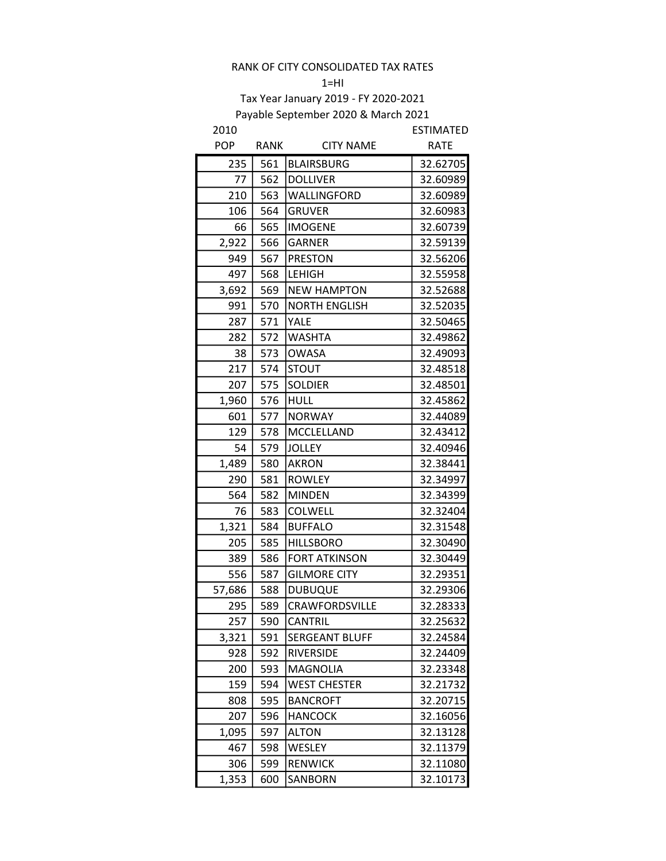#### $1=$ HI

| <b>POP</b><br><b>RATE</b><br>RANK<br><b>CITY NAME</b><br>235<br>561<br>32.62705<br><b>BLAIRSBURG</b><br>77<br>562<br><b>DOLLIVER</b><br>32.60989<br>210<br>563<br>WALLINGFORD<br>32.60989<br>106<br>564<br><b>GRUVER</b><br>32.60983<br>66<br>565<br><b>IMOGENE</b><br>32.60739<br>2,922<br>566<br><b>GARNER</b><br>32.59139<br>949<br>567<br><b>PRESTON</b><br>32.56206<br>497<br>568<br><b>LEHIGH</b><br>32.55958<br>3,692<br>569<br><b>NEW HAMPTON</b><br>32.52688<br>991<br>570<br><b>NORTH ENGLISH</b><br>32.52035<br>571<br>YALE<br>32.50465<br>287<br>572<br><b>WASHTA</b><br>32.49862<br>282<br>38<br>573<br><b>OWASA</b><br>32.49093<br>217<br>574<br>32.48518<br><b>STOUT</b><br>575<br>207<br><b>SOLDIER</b><br>32.48501<br>576<br>1,960<br><b>HULL</b><br>32.45862<br>601<br>577<br><b>NORWAY</b><br>32.44089<br>129<br>578<br>MCCLELLAND<br>32.43412<br>54<br>579<br><b>JOLLEY</b><br>32.40946<br>580<br><b>AKRON</b><br>1,489<br>32.38441<br>290<br>581<br><b>ROWLEY</b><br>32.34997<br>564<br>582<br><b>MINDEN</b><br>32.34399<br>76<br>583<br>COLWELL<br>32.32404<br>584<br><b>BUFFALO</b><br>32.31548<br>1,321<br>205<br>585<br><b>HILLSBORO</b><br>32.30490<br>586<br><b>FORT ATKINSON</b><br>32.30449<br>389<br>556<br>587<br><b>GILMORE CITY</b><br>32.29351<br>32.29306<br>57,686<br>588<br><b>DUBUQUE</b><br>32.28333<br>295<br>589<br>CRAWFORDSVILLE<br>32.25632<br>257<br>590<br><b>CANTRIL</b><br>3,321<br><b>SERGEANT BLUFF</b><br>32.24584<br>591<br>928<br>592<br>RIVERSIDE<br>32.24409<br>200<br>593<br>32.23348<br>MAGNOLIA<br>159<br>594<br><b>WEST CHESTER</b><br>32.21732<br>808<br>595<br>32.20715<br><b>BANCROFT</b><br>207<br>32.16056<br>596<br><b>HANCOCK</b><br>1,095<br>32.13128<br>597<br><b>ALTON</b><br>WESLEY<br>32.11379<br>467<br>598 | 2010 |     |                | ESTIMATED |
|-------------------------------------------------------------------------------------------------------------------------------------------------------------------------------------------------------------------------------------------------------------------------------------------------------------------------------------------------------------------------------------------------------------------------------------------------------------------------------------------------------------------------------------------------------------------------------------------------------------------------------------------------------------------------------------------------------------------------------------------------------------------------------------------------------------------------------------------------------------------------------------------------------------------------------------------------------------------------------------------------------------------------------------------------------------------------------------------------------------------------------------------------------------------------------------------------------------------------------------------------------------------------------------------------------------------------------------------------------------------------------------------------------------------------------------------------------------------------------------------------------------------------------------------------------------------------------------------------------------------------------------------------------------------------------------------------------------------------------------------------------------------------------------|------|-----|----------------|-----------|
|                                                                                                                                                                                                                                                                                                                                                                                                                                                                                                                                                                                                                                                                                                                                                                                                                                                                                                                                                                                                                                                                                                                                                                                                                                                                                                                                                                                                                                                                                                                                                                                                                                                                                                                                                                                     |      |     |                |           |
|                                                                                                                                                                                                                                                                                                                                                                                                                                                                                                                                                                                                                                                                                                                                                                                                                                                                                                                                                                                                                                                                                                                                                                                                                                                                                                                                                                                                                                                                                                                                                                                                                                                                                                                                                                                     |      |     |                |           |
|                                                                                                                                                                                                                                                                                                                                                                                                                                                                                                                                                                                                                                                                                                                                                                                                                                                                                                                                                                                                                                                                                                                                                                                                                                                                                                                                                                                                                                                                                                                                                                                                                                                                                                                                                                                     |      |     |                |           |
|                                                                                                                                                                                                                                                                                                                                                                                                                                                                                                                                                                                                                                                                                                                                                                                                                                                                                                                                                                                                                                                                                                                                                                                                                                                                                                                                                                                                                                                                                                                                                                                                                                                                                                                                                                                     |      |     |                |           |
|                                                                                                                                                                                                                                                                                                                                                                                                                                                                                                                                                                                                                                                                                                                                                                                                                                                                                                                                                                                                                                                                                                                                                                                                                                                                                                                                                                                                                                                                                                                                                                                                                                                                                                                                                                                     |      |     |                |           |
|                                                                                                                                                                                                                                                                                                                                                                                                                                                                                                                                                                                                                                                                                                                                                                                                                                                                                                                                                                                                                                                                                                                                                                                                                                                                                                                                                                                                                                                                                                                                                                                                                                                                                                                                                                                     |      |     |                |           |
|                                                                                                                                                                                                                                                                                                                                                                                                                                                                                                                                                                                                                                                                                                                                                                                                                                                                                                                                                                                                                                                                                                                                                                                                                                                                                                                                                                                                                                                                                                                                                                                                                                                                                                                                                                                     |      |     |                |           |
|                                                                                                                                                                                                                                                                                                                                                                                                                                                                                                                                                                                                                                                                                                                                                                                                                                                                                                                                                                                                                                                                                                                                                                                                                                                                                                                                                                                                                                                                                                                                                                                                                                                                                                                                                                                     |      |     |                |           |
|                                                                                                                                                                                                                                                                                                                                                                                                                                                                                                                                                                                                                                                                                                                                                                                                                                                                                                                                                                                                                                                                                                                                                                                                                                                                                                                                                                                                                                                                                                                                                                                                                                                                                                                                                                                     |      |     |                |           |
|                                                                                                                                                                                                                                                                                                                                                                                                                                                                                                                                                                                                                                                                                                                                                                                                                                                                                                                                                                                                                                                                                                                                                                                                                                                                                                                                                                                                                                                                                                                                                                                                                                                                                                                                                                                     |      |     |                |           |
|                                                                                                                                                                                                                                                                                                                                                                                                                                                                                                                                                                                                                                                                                                                                                                                                                                                                                                                                                                                                                                                                                                                                                                                                                                                                                                                                                                                                                                                                                                                                                                                                                                                                                                                                                                                     |      |     |                |           |
|                                                                                                                                                                                                                                                                                                                                                                                                                                                                                                                                                                                                                                                                                                                                                                                                                                                                                                                                                                                                                                                                                                                                                                                                                                                                                                                                                                                                                                                                                                                                                                                                                                                                                                                                                                                     |      |     |                |           |
|                                                                                                                                                                                                                                                                                                                                                                                                                                                                                                                                                                                                                                                                                                                                                                                                                                                                                                                                                                                                                                                                                                                                                                                                                                                                                                                                                                                                                                                                                                                                                                                                                                                                                                                                                                                     |      |     |                |           |
|                                                                                                                                                                                                                                                                                                                                                                                                                                                                                                                                                                                                                                                                                                                                                                                                                                                                                                                                                                                                                                                                                                                                                                                                                                                                                                                                                                                                                                                                                                                                                                                                                                                                                                                                                                                     |      |     |                |           |
|                                                                                                                                                                                                                                                                                                                                                                                                                                                                                                                                                                                                                                                                                                                                                                                                                                                                                                                                                                                                                                                                                                                                                                                                                                                                                                                                                                                                                                                                                                                                                                                                                                                                                                                                                                                     |      |     |                |           |
|                                                                                                                                                                                                                                                                                                                                                                                                                                                                                                                                                                                                                                                                                                                                                                                                                                                                                                                                                                                                                                                                                                                                                                                                                                                                                                                                                                                                                                                                                                                                                                                                                                                                                                                                                                                     |      |     |                |           |
|                                                                                                                                                                                                                                                                                                                                                                                                                                                                                                                                                                                                                                                                                                                                                                                                                                                                                                                                                                                                                                                                                                                                                                                                                                                                                                                                                                                                                                                                                                                                                                                                                                                                                                                                                                                     |      |     |                |           |
|                                                                                                                                                                                                                                                                                                                                                                                                                                                                                                                                                                                                                                                                                                                                                                                                                                                                                                                                                                                                                                                                                                                                                                                                                                                                                                                                                                                                                                                                                                                                                                                                                                                                                                                                                                                     |      |     |                |           |
|                                                                                                                                                                                                                                                                                                                                                                                                                                                                                                                                                                                                                                                                                                                                                                                                                                                                                                                                                                                                                                                                                                                                                                                                                                                                                                                                                                                                                                                                                                                                                                                                                                                                                                                                                                                     |      |     |                |           |
|                                                                                                                                                                                                                                                                                                                                                                                                                                                                                                                                                                                                                                                                                                                                                                                                                                                                                                                                                                                                                                                                                                                                                                                                                                                                                                                                                                                                                                                                                                                                                                                                                                                                                                                                                                                     |      |     |                |           |
|                                                                                                                                                                                                                                                                                                                                                                                                                                                                                                                                                                                                                                                                                                                                                                                                                                                                                                                                                                                                                                                                                                                                                                                                                                                                                                                                                                                                                                                                                                                                                                                                                                                                                                                                                                                     |      |     |                |           |
|                                                                                                                                                                                                                                                                                                                                                                                                                                                                                                                                                                                                                                                                                                                                                                                                                                                                                                                                                                                                                                                                                                                                                                                                                                                                                                                                                                                                                                                                                                                                                                                                                                                                                                                                                                                     |      |     |                |           |
|                                                                                                                                                                                                                                                                                                                                                                                                                                                                                                                                                                                                                                                                                                                                                                                                                                                                                                                                                                                                                                                                                                                                                                                                                                                                                                                                                                                                                                                                                                                                                                                                                                                                                                                                                                                     |      |     |                |           |
|                                                                                                                                                                                                                                                                                                                                                                                                                                                                                                                                                                                                                                                                                                                                                                                                                                                                                                                                                                                                                                                                                                                                                                                                                                                                                                                                                                                                                                                                                                                                                                                                                                                                                                                                                                                     |      |     |                |           |
|                                                                                                                                                                                                                                                                                                                                                                                                                                                                                                                                                                                                                                                                                                                                                                                                                                                                                                                                                                                                                                                                                                                                                                                                                                                                                                                                                                                                                                                                                                                                                                                                                                                                                                                                                                                     |      |     |                |           |
|                                                                                                                                                                                                                                                                                                                                                                                                                                                                                                                                                                                                                                                                                                                                                                                                                                                                                                                                                                                                                                                                                                                                                                                                                                                                                                                                                                                                                                                                                                                                                                                                                                                                                                                                                                                     |      |     |                |           |
|                                                                                                                                                                                                                                                                                                                                                                                                                                                                                                                                                                                                                                                                                                                                                                                                                                                                                                                                                                                                                                                                                                                                                                                                                                                                                                                                                                                                                                                                                                                                                                                                                                                                                                                                                                                     |      |     |                |           |
|                                                                                                                                                                                                                                                                                                                                                                                                                                                                                                                                                                                                                                                                                                                                                                                                                                                                                                                                                                                                                                                                                                                                                                                                                                                                                                                                                                                                                                                                                                                                                                                                                                                                                                                                                                                     |      |     |                |           |
|                                                                                                                                                                                                                                                                                                                                                                                                                                                                                                                                                                                                                                                                                                                                                                                                                                                                                                                                                                                                                                                                                                                                                                                                                                                                                                                                                                                                                                                                                                                                                                                                                                                                                                                                                                                     |      |     |                |           |
|                                                                                                                                                                                                                                                                                                                                                                                                                                                                                                                                                                                                                                                                                                                                                                                                                                                                                                                                                                                                                                                                                                                                                                                                                                                                                                                                                                                                                                                                                                                                                                                                                                                                                                                                                                                     |      |     |                |           |
|                                                                                                                                                                                                                                                                                                                                                                                                                                                                                                                                                                                                                                                                                                                                                                                                                                                                                                                                                                                                                                                                                                                                                                                                                                                                                                                                                                                                                                                                                                                                                                                                                                                                                                                                                                                     |      |     |                |           |
|                                                                                                                                                                                                                                                                                                                                                                                                                                                                                                                                                                                                                                                                                                                                                                                                                                                                                                                                                                                                                                                                                                                                                                                                                                                                                                                                                                                                                                                                                                                                                                                                                                                                                                                                                                                     |      |     |                |           |
|                                                                                                                                                                                                                                                                                                                                                                                                                                                                                                                                                                                                                                                                                                                                                                                                                                                                                                                                                                                                                                                                                                                                                                                                                                                                                                                                                                                                                                                                                                                                                                                                                                                                                                                                                                                     |      |     |                |           |
|                                                                                                                                                                                                                                                                                                                                                                                                                                                                                                                                                                                                                                                                                                                                                                                                                                                                                                                                                                                                                                                                                                                                                                                                                                                                                                                                                                                                                                                                                                                                                                                                                                                                                                                                                                                     |      |     |                |           |
|                                                                                                                                                                                                                                                                                                                                                                                                                                                                                                                                                                                                                                                                                                                                                                                                                                                                                                                                                                                                                                                                                                                                                                                                                                                                                                                                                                                                                                                                                                                                                                                                                                                                                                                                                                                     |      |     |                |           |
|                                                                                                                                                                                                                                                                                                                                                                                                                                                                                                                                                                                                                                                                                                                                                                                                                                                                                                                                                                                                                                                                                                                                                                                                                                                                                                                                                                                                                                                                                                                                                                                                                                                                                                                                                                                     |      |     |                |           |
|                                                                                                                                                                                                                                                                                                                                                                                                                                                                                                                                                                                                                                                                                                                                                                                                                                                                                                                                                                                                                                                                                                                                                                                                                                                                                                                                                                                                                                                                                                                                                                                                                                                                                                                                                                                     |      |     |                |           |
|                                                                                                                                                                                                                                                                                                                                                                                                                                                                                                                                                                                                                                                                                                                                                                                                                                                                                                                                                                                                                                                                                                                                                                                                                                                                                                                                                                                                                                                                                                                                                                                                                                                                                                                                                                                     |      |     |                |           |
|                                                                                                                                                                                                                                                                                                                                                                                                                                                                                                                                                                                                                                                                                                                                                                                                                                                                                                                                                                                                                                                                                                                                                                                                                                                                                                                                                                                                                                                                                                                                                                                                                                                                                                                                                                                     |      |     |                |           |
|                                                                                                                                                                                                                                                                                                                                                                                                                                                                                                                                                                                                                                                                                                                                                                                                                                                                                                                                                                                                                                                                                                                                                                                                                                                                                                                                                                                                                                                                                                                                                                                                                                                                                                                                                                                     | 306  | 599 | <b>RENWICK</b> | 32.11080  |
| 1,353<br>32.10173<br>600<br>SANBORN                                                                                                                                                                                                                                                                                                                                                                                                                                                                                                                                                                                                                                                                                                                                                                                                                                                                                                                                                                                                                                                                                                                                                                                                                                                                                                                                                                                                                                                                                                                                                                                                                                                                                                                                                 |      |     |                |           |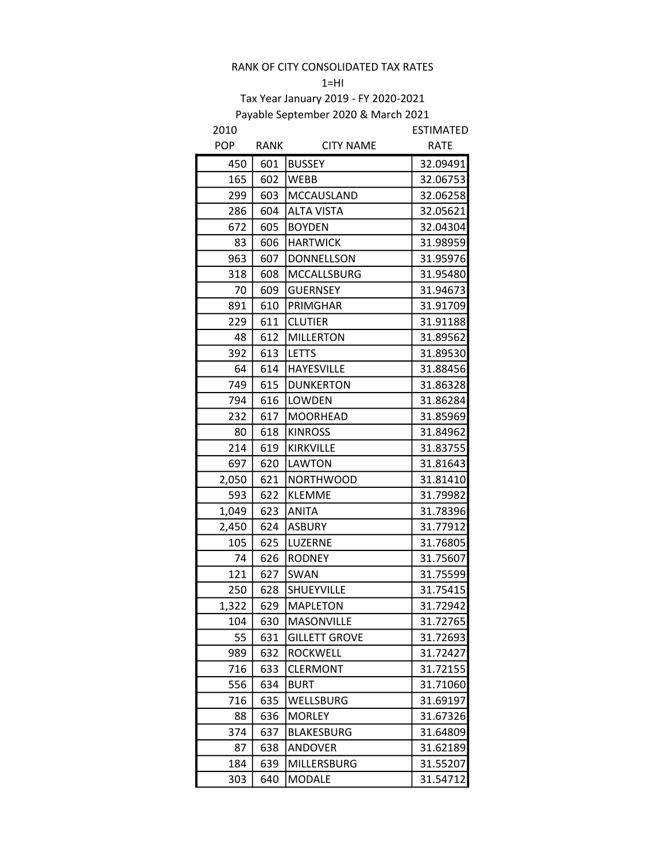$1=HI$ 

| 2010       |             |                      | <b>ESTIMATED</b> |
|------------|-------------|----------------------|------------------|
| <b>POP</b> | <b>RANK</b> | <b>CITY NAME</b>     | <b>RATE</b>      |
| 450        | 601         | <b>BUSSEY</b>        | 32.09491         |
| 165        | 602         | <b>WEBB</b>          | 32.06753         |
| 299        | 603         | MCCAUSLAND           | 32.06258         |
| 286        | 604         | <b>ALTA VISTA</b>    | 32.05621         |
| 672        | 605         | <b>BOYDEN</b>        | 32.04304         |
| 83         | 606         | <b>HARTWICK</b>      | 31.98959         |
| 963        | 607         | <b>DONNELLSON</b>    | 31.95976         |
| 318        | 608         | <b>MCCALLSBURG</b>   | 31.95480         |
| 70         | 609         | <b>GUERNSEY</b>      | 31.94673         |
| 891        | 610         | PRIMGHAR             | 31.91709         |
| 229        | 611         | <b>CLUTIER</b>       | 31.91188         |
| 48         | 612         | <b>MILLERTON</b>     | 31.89562         |
| 392        | 613         | <b>LETTS</b>         | 31.89530         |
| 64         | 614         | <b>HAYESVILLE</b>    | 31.88456         |
| 749        | 615         | <b>DUNKERTON</b>     | 31.86328         |
| 794        | 616         | <b>LOWDEN</b>        | 31.86284         |
| 232        | 617         | <b>MOORHEAD</b>      | 31.85969         |
| 80         | 618         | <b>KINROSS</b>       | 31.84962         |
| 214        | 619         | KIRKVILLE            | 31.83755         |
| 697        | 620         | <b>LAWTON</b>        | 31.81643         |
| 2,050      | 621         | <b>NORTHWOOD</b>     | 31.81410         |
| 593        | 622         | <b>KLEMME</b>        | 31.79982         |
| 1,049      | 623         | <b>ANITA</b>         | 31.78396         |
| 2,450      | 624         | <b>ASBURY</b>        | 31.77912         |
| 105        | 625         | LUZERNE              | 31.76805         |
| 74         | 626         | <b>RODNEY</b>        | 31.75607         |
| 121        | 627         | SWAN                 | 31.75599         |
| 250        | 628         | SHUEYVILLE           | 31.75415         |
| 1,322      | 629         | <b>MAPLETON</b>      | 31.72942         |
| 104        | 630         | MASONVILLE           | 31.72765         |
| 55         | 631         | <b>GILLETT GROVE</b> | 31.72693         |
| 989        | 632         | <b>ROCKWELL</b>      | 31.72427         |
| 716        | 633         | <b>CLERMONT</b>      | 31.72155         |
| 556        | 634         | <b>BURT</b>          | 31.71060         |
| 716        | 635         | WELLSBURG            | 31.69197         |
| 88         | 636         | <b>MORLEY</b>        | 31.67326         |
| 374        | 637         | <b>BLAKESBURG</b>    | 31.64809         |
| 87         | 638         | <b>ANDOVER</b>       | 31.62189         |
| 184        | 639         | <b>MILLERSBURG</b>   | 31.55207         |
| 303        | 640         | <b>MODALE</b>        | 31.54712         |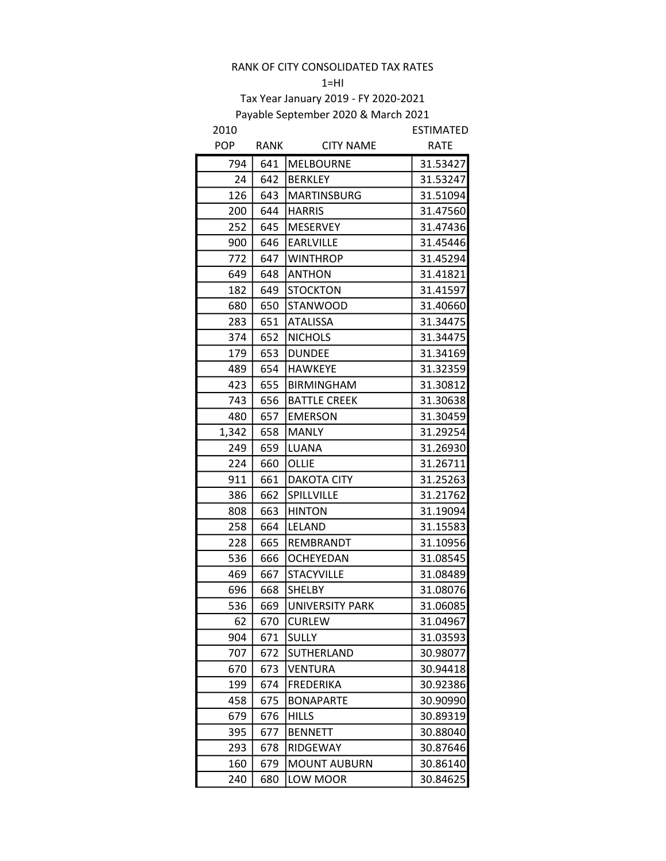#### $1=$ HI

| 2010       |      |                        | <b>ESTIMATED</b> |
|------------|------|------------------------|------------------|
| <b>POP</b> | RANK | <b>CITY NAME</b>       | <b>RATE</b>      |
| 794        | 641  | <b>MELBOURNE</b>       | 31.53427         |
| 24         | 642  | <b>BERKLEY</b>         | 31.53247         |
| 126        | 643  | <b>MARTINSBURG</b>     | 31.51094         |
| 200        | 644  | <b>HARRIS</b>          | 31.47560         |
| 252        | 645  | <b>MESERVEY</b>        | 31.47436         |
| 900        | 646  | <b>EARLVILLE</b>       | 31.45446         |
| 772        | 647  | <b>WINTHROP</b>        | 31.45294         |
| 649        | 648  | <b>ANTHON</b>          | 31.41821         |
| 182        | 649  | <b>STOCKTON</b>        | 31.41597         |
| 680        | 650  | <b>STANWOOD</b>        | 31.40660         |
| 283        | 651  | <b>ATALISSA</b>        | 31.34475         |
| 374        | 652  | <b>NICHOLS</b>         | 31.34475         |
| 179        | 653  | <b>DUNDEE</b>          | 31.34169         |
| 489        | 654  | <b>HAWKEYE</b>         | 31.32359         |
| 423        | 655  | <b>BIRMINGHAM</b>      | 31.30812         |
| 743        | 656  | <b>BATTLE CREEK</b>    | 31.30638         |
| 480        | 657  | <b>EMERSON</b>         | 31.30459         |
| 1,342      | 658  | <b>MANLY</b>           | 31.29254         |
| 249        | 659  | <b>LUANA</b>           | 31.26930         |
| 224        | 660  | OLLIE                  | 31.26711         |
| 911        | 661  | <b>DAKOTA CITY</b>     | 31.25263         |
| 386        | 662  | SPILLVILLE             | 31.21762         |
| 808        | 663  | <b>HINTON</b>          | 31.19094         |
| 258        | 664  | LELAND                 | 31.15583         |
| 228        | 665  | REMBRANDT              | 31.10956         |
| 536        | 666  | <b>OCHEYEDAN</b>       | 31.08545         |
| 469        | 667  | <b>STACYVILLE</b>      | 31.08489         |
| 696        | 668  | <b>SHELBY</b>          | 31.08076         |
| 536        | 669  | <b>UNIVERSITY PARK</b> | 31.06085         |
| 62         | 670  | <b>CURLEW</b>          | 31.04967         |
| 904        | 671  | <b>SULLY</b>           | 31.03593         |
| 707        | 672  | SUTHERLAND             | 30.98077         |
| 670        | 673  | <b>VENTURA</b>         | 30.94418         |
| 199        | 674  | <b>FREDERIKA</b>       | 30.92386         |
| 458        | 675  | <b>BONAPARTE</b>       | 30.90990         |
| 679        | 676  | <b>HILLS</b>           | 30.89319         |
| 395        | 677  | <b>BENNETT</b>         | 30.88040         |
| 293        | 678  | RIDGEWAY               | 30.87646         |
| 160        | 679  | <b>MOUNT AUBURN</b>    | 30.86140         |
| 240        | 680  | LOW MOOR               | 30.84625         |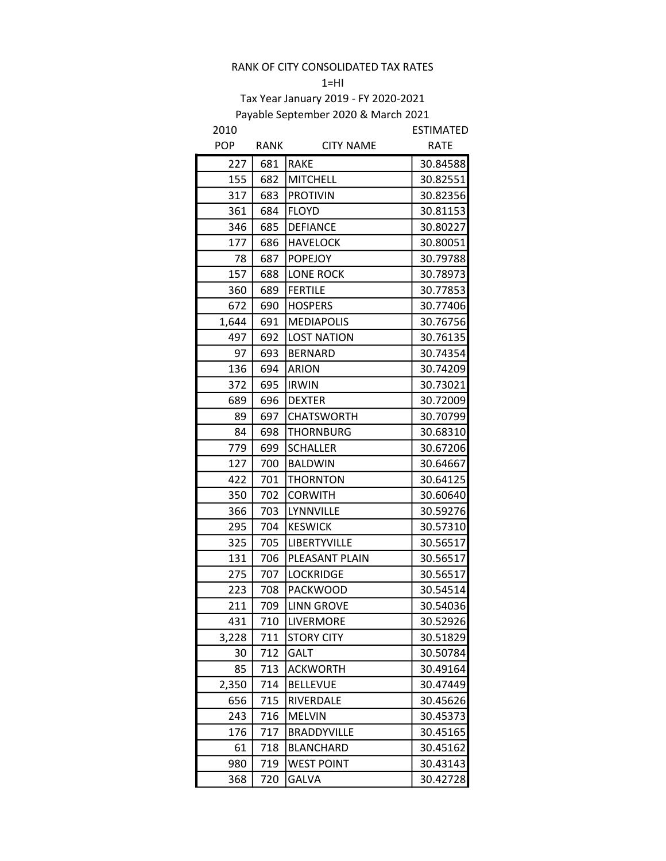$1=HI$ 

| 2010       |      |                    | <b>ESTIMATED</b> |
|------------|------|--------------------|------------------|
| <b>POP</b> | RANK | <b>CITY NAME</b>   | <b>RATE</b>      |
| 227        | 681  | <b>RAKE</b>        | 30.84588         |
| 155        | 682  | <b>MITCHELL</b>    | 30.82551         |
| 317        | 683  | <b>PROTIVIN</b>    | 30.82356         |
| 361        | 684  | <b>FLOYD</b>       | 30.81153         |
| 346        | 685  | <b>DEFIANCE</b>    | 30.80227         |
| 177        | 686  | <b>HAVELOCK</b>    | 30.80051         |
| 78         | 687  | <b>POPEJOY</b>     | 30.79788         |
| 157        | 688  | <b>LONE ROCK</b>   | 30.78973         |
| 360        | 689  | <b>FERTILE</b>     | 30.77853         |
| 672        | 690  | <b>HOSPERS</b>     | 30.77406         |
| 1,644      | 691  | <b>MEDIAPOLIS</b>  | 30.76756         |
| 497        | 692  | <b>LOST NATION</b> | 30.76135         |
| 97         | 693  | <b>BERNARD</b>     | 30.74354         |
| 136        | 694  | <b>ARION</b>       | 30.74209         |
| 372        | 695  | <b>IRWIN</b>       | 30.73021         |
| 689        | 696  | <b>DEXTER</b>      | 30.72009         |
| 89         | 697  | <b>CHATSWORTH</b>  | 30.70799         |
| 84         | 698  | <b>THORNBURG</b>   | 30.68310         |
| 779        | 699  | <b>SCHALLER</b>    | 30.67206         |
| 127        | 700  | <b>BALDWIN</b>     | 30.64667         |
| 422        | 701  | THORNTON           | 30.64125         |
| 350        | 702  | <b>CORWITH</b>     | 30.60640         |
| 366        | 703  | LYNNVILLE          | 30.59276         |
| 295        | 704  | <b>KESWICK</b>     | 30.57310         |
| 325        | 705  | LIBERTYVILLE       | 30.56517         |
| 131        | 706  | PLEASANT PLAIN     | 30.56517         |
| 275        | 707  | <b>LOCKRIDGE</b>   | 30.56517         |
| 223        | 708  | <b>PACKWOOD</b>    | 30.54514         |
| 211        | 709  | <b>LINN GROVE</b>  | 30.54036         |
| 431        | 710  | LIVERMORE          | 30.52926         |
| 3,228      | 711  | <b>STORY CITY</b>  | 30.51829         |
| 30         | 712  | <b>GALT</b>        | 30.50784         |
| 85         | 713  | <b>ACKWORTH</b>    | 30.49164         |
| 2,350      | 714  | <b>BELLEVUE</b>    | 30.47449         |
| 656        | 715  | RIVERDALE          | 30.45626         |
| 243        | 716  | <b>MELVIN</b>      | 30.45373         |
| 176        | 717  | <b>BRADDYVILLE</b> | 30.45165         |
| 61         | 718  | <b>BLANCHARD</b>   | 30.45162         |
| 980        | 719  | <b>WEST POINT</b>  | 30.43143         |
| 368        | 720  | <b>GALVA</b>       | 30.42728         |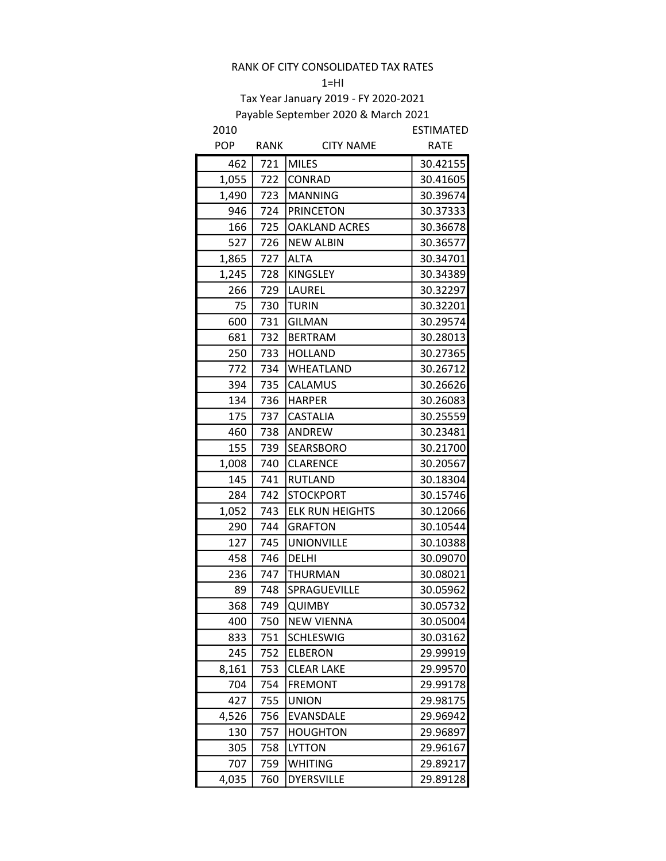#### $1=$ HI

| 2010       |             |                        | <b>ESTIMATED</b> |
|------------|-------------|------------------------|------------------|
| <b>POP</b> | <b>RANK</b> | <b>CITY NAME</b>       | <b>RATE</b>      |
| 462        | 721         | <b>MILES</b>           | 30.42155         |
| 1,055      | 722         | CONRAD                 | 30.41605         |
| 1,490      | 723         | <b>MANNING</b>         | 30.39674         |
| 946        | 724         | <b>PRINCETON</b>       | 30.37333         |
| 166        | 725         | <b>OAKLAND ACRES</b>   | 30.36678         |
| 527        | 726         | <b>NEW ALBIN</b>       | 30.36577         |
| 1,865      | 727         | <b>ALTA</b>            | 30.34701         |
| 1,245      | 728         | <b>KINGSLEY</b>        | 30.34389         |
| 266        | 729         | LAUREL                 | 30.32297         |
| 75         | 730         | <b>TURIN</b>           | 30.32201         |
| 600        | 731         | <b>GILMAN</b>          | 30.29574         |
| 681        | 732         | <b>BERTRAM</b>         | 30.28013         |
| 250        | 733         | <b>HOLLAND</b>         | 30.27365         |
| 772        | 734         | WHEATLAND              | 30.26712         |
| 394        | 735         | CALAMUS                | 30.26626         |
| 134        | 736         | <b>HARPER</b>          | 30.26083         |
| 175        | 737         | <b>CASTALIA</b>        | 30.25559         |
| 460        | 738         | <b>ANDREW</b>          | 30.23481         |
| 155        | 739         | SEARSBORO              | 30.21700         |
| 1,008      | 740         | <b>CLARENCE</b>        | 30.20567         |
| 145        | 741         | <b>RUTLAND</b>         | 30.18304         |
| 284        | 742         | <b>STOCKPORT</b>       | 30.15746         |
| 1,052      | 743         | <b>ELK RUN HEIGHTS</b> | 30.12066         |
| 290        | 744         | <b>GRAFTON</b>         | 30.10544         |
| 127        | 745         | <b>UNIONVILLE</b>      | 30.10388         |
| 458        | 746         | <b>DELHI</b>           | 30.09070         |
| 236        | 747         | <b>THURMAN</b>         | 30.08021         |
| 89         | 748         | SPRAGUEVILLE           | 30.05962         |
| 368        | 749         | <b>QUIMBY</b>          | 30.05732         |
| 400        | 750         | <b>NEW VIENNA</b>      | 30.05004         |
| 833        | 751         | <b>SCHLESWIG</b>       | 30.03162         |
| 245        | 752         | <b>ELBERON</b>         | 29.99919         |
| 8,161      | 753         | <b>CLEAR LAKE</b>      | 29.99570         |
| 704        | 754         | <b>FREMONT</b>         | 29.99178         |
| 427        | 755         | <b>UNION</b>           | 29.98175         |
| 4,526      | 756         | EVANSDALE              | 29.96942         |
| 130        | 757         | <b>HOUGHTON</b>        | 29.96897         |
| 305        | 758         | <b>LYTTON</b>          | 29.96167         |
| 707        | 759         | <b>WHITING</b>         | 29.89217         |
| 4,035      | 760         | <b>DYERSVILLE</b>      | 29.89128         |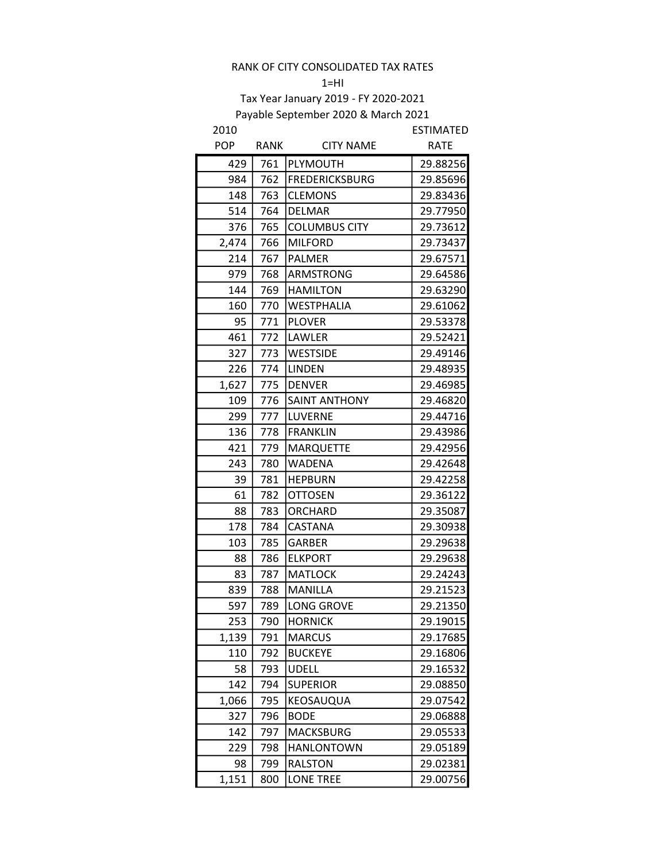#### $1=$ HI

| 2010       |      |                       | ESTIMATED   |
|------------|------|-----------------------|-------------|
| <b>POP</b> | RANK | <b>CITY NAME</b>      | <b>RATE</b> |
| 429        | 761  | PLYMOUTH              | 29.88256    |
| 984        | 762  | <b>FREDERICKSBURG</b> | 29.85696    |
| 148        | 763  | <b>CLEMONS</b>        | 29.83436    |
| 514        | 764  | <b>DELMAR</b>         | 29.77950    |
| 376        | 765  | <b>COLUMBUS CITY</b>  | 29.73612    |
| 2,474      | 766  | <b>MILFORD</b>        | 29.73437    |
| 214        | 767  | <b>PALMER</b>         | 29.67571    |
| 979        | 768  | <b>ARMSTRONG</b>      | 29.64586    |
| 144        | 769  | <b>HAMILTON</b>       | 29.63290    |
| 160        | 770  | <b>WESTPHALIA</b>     | 29.61062    |
| 95         | 771  | <b>PLOVER</b>         | 29.53378    |
| 461        | 772  | LAWLER                | 29.52421    |
| 327        | 773  | <b>WESTSIDE</b>       | 29.49146    |
| 226        | 774  | <b>LINDEN</b>         | 29.48935    |
| 1,627      | 775  | <b>DENVER</b>         | 29.46985    |
| 109        | 776  | <b>SAINT ANTHONY</b>  | 29.46820    |
| 299        | 777  | LUVERNE               | 29.44716    |
| 136        | 778  | <b>FRANKLIN</b>       | 29.43986    |
| 421        | 779  | <b>MARQUETTE</b>      | 29.42956    |
| 243        | 780  | <b>WADENA</b>         | 29.42648    |
| 39         | 781  | <b>HEPBURN</b>        | 29.42258    |
| 61         | 782  | <b>OTTOSEN</b>        | 29.36122    |
| 88         | 783  | ORCHARD               | 29.35087    |
| 178        | 784  | <b>CASTANA</b>        | 29.30938    |
| 103        | 785  | <b>GARBER</b>         | 29.29638    |
| 88         | 786  | <b>ELKPORT</b>        | 29.29638    |
| 83         | 787  | <b>MATLOCK</b>        | 29.24243    |
| 839        | 788  | <b>MANILLA</b>        | 29.21523    |
| 597        | 789  | <b>LONG GROVE</b>     | 29.21350    |
| 253        | 790  | <b>HORNICK</b>        | 29.19015    |
| 1,139      | 791  | <b>MARCUS</b>         | 29.17685    |
| 110        | 792  | <b>BUCKEYE</b>        | 29.16806    |
| 58         | 793  | <b>UDELL</b>          | 29.16532    |
| 142        | 794  | <b>SUPERIOR</b>       | 29.08850    |
| 1,066      | 795  | KEOSAUQUA             | 29.07542    |
| 327        | 796  | <b>BODE</b>           | 29.06888    |
| 142        | 797  | <b>MACKSBURG</b>      | 29.05533    |
| 229        | 798  | <b>HANLONTOWN</b>     | 29.05189    |
| 98         | 799  | <b>RALSTON</b>        | 29.02381    |
| 1,151      | 800  | <b>LONE TREE</b>      | 29.00756    |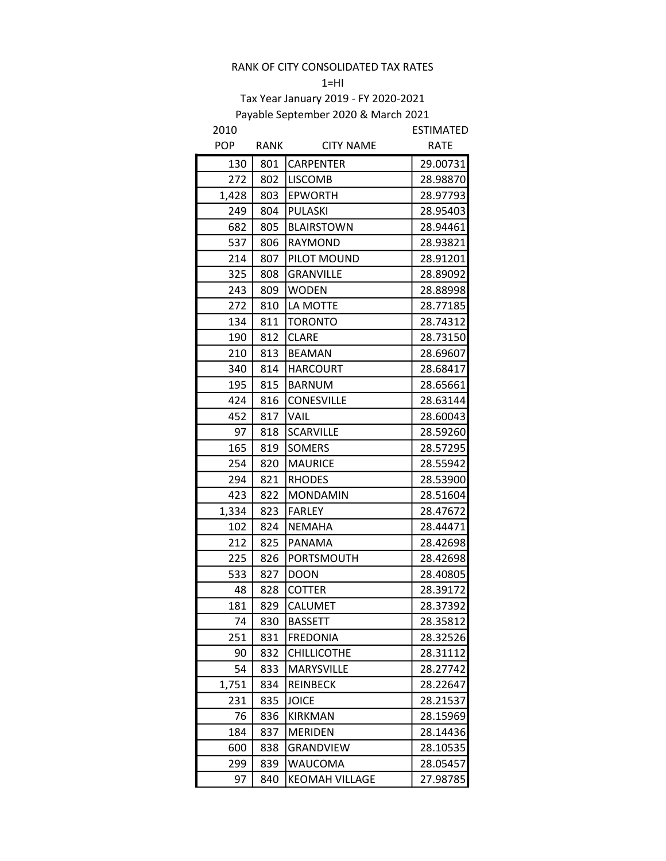#### $1=$ HI

| 2010       |      |                       | <b>ESTIMATED</b> |
|------------|------|-----------------------|------------------|
| <b>POP</b> | RANK | <b>CITY NAME</b>      | <b>RATE</b>      |
| 130        | 801  | <b>CARPENTER</b>      | 29.00731         |
| 272        | 802  | <b>LISCOMB</b>        | 28.98870         |
| 1,428      | 803  | <b>EPWORTH</b>        | 28.97793         |
| 249        | 804  | <b>PULASKI</b>        | 28.95403         |
| 682        | 805  | <b>BLAIRSTOWN</b>     | 28.94461         |
| 537        | 806  | RAYMOND               | 28.93821         |
| 214        | 807  | PILOT MOUND           | 28.91201         |
| 325        | 808  | <b>GRANVILLE</b>      | 28.89092         |
| 243        | 809  | <b>WODEN</b>          | 28.88998         |
| 272        | 810  | LA MOTTE              | 28.77185         |
| 134        | 811  | <b>TORONTO</b>        | 28.74312         |
| 190        | 812  | <b>CLARE</b>          | 28.73150         |
| 210        | 813  | <b>BEAMAN</b>         | 28.69607         |
| 340        | 814  | <b>HARCOURT</b>       | 28.68417         |
| 195        | 815  | <b>BARNUM</b>         | 28.65661         |
| 424        | 816  | <b>CONESVILLE</b>     | 28.63144         |
| 452        | 817  | <b>VAIL</b>           | 28.60043         |
| 97         | 818  | <b>SCARVILLE</b>      | 28.59260         |
| 165        | 819  | <b>SOMERS</b>         | 28.57295         |
| 254        | 820  | <b>MAURICE</b>        | 28.55942         |
| 294        | 821  | <b>RHODES</b>         | 28.53900         |
| 423        | 822  | <b>MONDAMIN</b>       | 28.51604         |
| 1,334      | 823  | <b>FARLEY</b>         | 28.47672         |
| 102        | 824  | <b>NEMAHA</b>         | 28.44471         |
| 212        | 825  | PANAMA                | 28.42698         |
| 225        | 826  | PORTSMOUTH            | 28.42698         |
| 533        | 827  | <b>DOON</b>           | 28.40805         |
| 48         | 828  | <b>COTTER</b>         | 28.39172         |
| 181        | 829  | <b>CALUMET</b>        | 28.37392         |
| 74         | 830  | <b>BASSETT</b>        | 28.35812         |
| 251        | 831  | FREDONIA              | 28.32526         |
| 90         | 832  | <b>CHILLICOTHE</b>    | 28.31112         |
| 54         | 833  | <b>MARYSVILLE</b>     | 28.27742         |
| 1,751      | 834  | REINBECK              | 28.22647         |
| 231        | 835  | <b>JOICE</b>          | 28.21537         |
| 76         | 836  | KIRKMAN               | 28.15969         |
| 184        | 837  | <b>MERIDEN</b>        | 28.14436         |
| 600        | 838  | GRANDVIEW             | 28.10535         |
| 299        | 839  | WAUCOMA               | 28.05457         |
| 97         | 840  | <b>KEOMAH VILLAGE</b> | 27.98785         |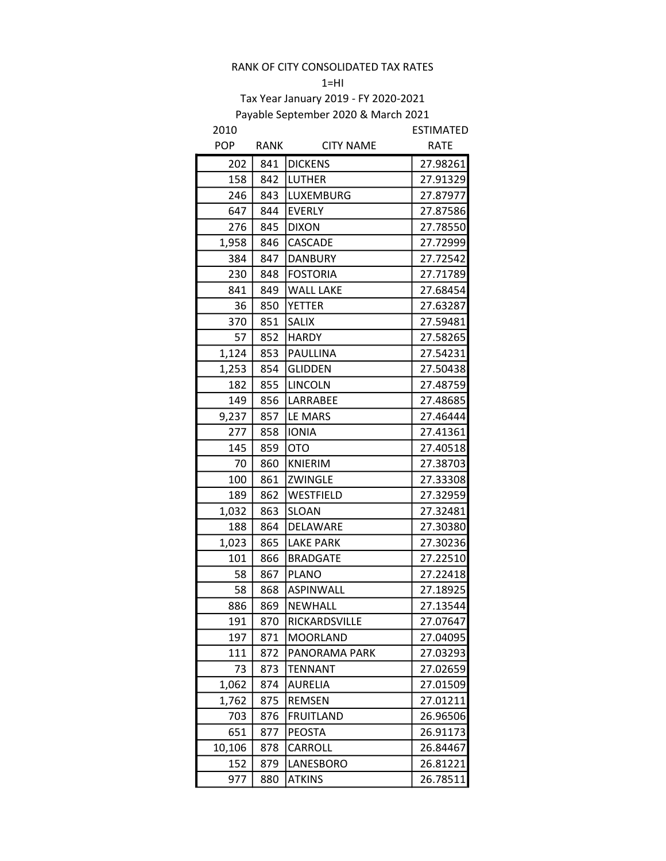#### $1=$ HI

| 2010       |             |                  | <b>ESTIMATED</b> |
|------------|-------------|------------------|------------------|
| <b>POP</b> | <b>RANK</b> | <b>CITY NAME</b> | <b>RATE</b>      |
| 202        | 841         | <b>DICKENS</b>   | 27.98261         |
| 158        | 842         | <b>LUTHER</b>    | 27.91329         |
| 246        | 843         | <b>LUXEMBURG</b> | 27.87977         |
| 647        | 844         | <b>EVERLY</b>    | 27.87586         |
| 276        | 845         | <b>DIXON</b>     | 27.78550         |
| 1,958      | 846         | CASCADE          | 27.72999         |
| 384        | 847         | <b>DANBURY</b>   | 27.72542         |
| 230        | 848         | <b>FOSTORIA</b>  | 27.71789         |
| 841        | 849         | <b>WALL LAKE</b> | 27.68454         |
| 36         | 850         | <b>YETTER</b>    | 27.63287         |
| 370        | 851         | <b>SALIX</b>     | 27.59481         |
| 57         | 852         | <b>HARDY</b>     | 27.58265         |
| 1,124      | 853         | PAULLINA         | 27.54231         |
| 1,253      | 854         | <b>GLIDDEN</b>   | 27.50438         |
| 182        | 855         | <b>LINCOLN</b>   | 27.48759         |
| 149        | 856         | <b>LARRABEE</b>  | 27.48685         |
| 9,237      | 857         | LE MARS          | 27.46444         |
| 277        | 858         | <b>IONIA</b>     | 27.41361         |
| 145        | 859         | <b>OTO</b>       | 27.40518         |
| 70         | 860         | KNIERIM          | 27.38703         |
| 100        | 861         | ZWINGLE          | 27.33308         |
| 189        | 862         | WESTFIELD        | 27.32959         |
| 1,032      | 863         | <b>SLOAN</b>     | 27.32481         |
| 188        | 864         | DELAWARE         | 27.30380         |
| 1,023      | 865         | <b>LAKE PARK</b> | 27.30236         |
| 101        | 866         | <b>BRADGATE</b>  | 27.22510         |
| 58         | 867         | <b>PLANO</b>     | 27.22418         |
| 58         | 868         | <b>ASPINWALL</b> | 27.18925         |
| 886        | 869         | NEWHALL          | 27.13544         |
| 191        | 870         | RICKARDSVILLE    | 27.07647         |
| 197        | 871         | <b>MOORLAND</b>  | 27.04095         |
| 111        | 872         | PANORAMA PARK    | 27.03293         |
| 73         | 873         | <b>TENNANT</b>   | 27.02659         |
| 1,062      | 874         | <b>AURELIA</b>   | 27.01509         |
| 1,762      | 875         | <b>REMSEN</b>    | 27.01211         |
| 703        | 876         | <b>FRUITLAND</b> | 26.96506         |
| 651        | 877         | <b>PEOSTA</b>    | 26.91173         |
| 10,106     | 878         | CARROLL          | 26.84467         |
| 152        | 879         | LANESBORO        | 26.81221         |
| 977        | 880         | <b>ATKINS</b>    | 26.78511         |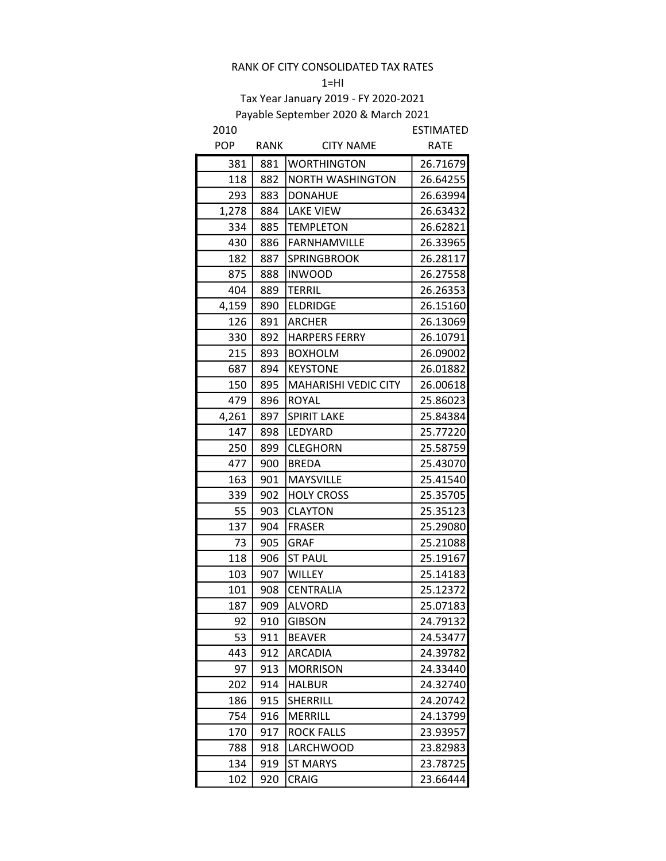#### $1=HI$

| 2010       |      |                             | <b>ESTIMATED</b> |
|------------|------|-----------------------------|------------------|
| <b>POP</b> | RANK | <b>CITY NAME</b>            | <b>RATE</b>      |
| 381        | 881  | <b>WORTHINGTON</b>          | 26.71679         |
| 118        | 882  | <b>NORTH WASHINGTON</b>     | 26.64255         |
| 293        | 883  | <b>DONAHUE</b>              | 26.63994         |
| 1,278      | 884  | <b>LAKE VIEW</b>            | 26.63432         |
| 334        | 885  | <b>TEMPLETON</b>            | 26.62821         |
| 430        | 886  | <b>FARNHAMVILLE</b>         | 26.33965         |
| 182        | 887  | <b>SPRINGBROOK</b>          | 26.28117         |
| 875        | 888  | <b>INWOOD</b>               | 26.27558         |
| 404        | 889  | <b>TERRIL</b>               | 26.26353         |
| 4,159      | 890  | <b>ELDRIDGE</b>             | 26.15160         |
| 126        | 891  | <b>ARCHER</b>               | 26.13069         |
| 330        | 892  | <b>HARPERS FERRY</b>        | 26.10791         |
| 215        | 893  | <b>BOXHOLM</b>              | 26.09002         |
| 687        | 894  | <b>KEYSTONE</b>             | 26.01882         |
| 150        | 895  | <b>MAHARISHI VEDIC CITY</b> | 26.00618         |
| 479        | 896  | <b>ROYAL</b>                | 25.86023         |
| 4,261      | 897  | <b>SPIRIT LAKE</b>          | 25.84384         |
| 147        | 898  | LEDYARD                     | 25.77220         |
| 250        | 899  | <b>CLEGHORN</b>             | 25.58759         |
| 477        | 900  | <b>BREDA</b>                | 25.43070         |
| 163        | 901  | <b>MAYSVILLE</b>            | 25.41540         |
| 339        | 902  | <b>HOLY CROSS</b>           | 25.35705         |
| 55         | 903  | <b>CLAYTON</b>              | 25.35123         |
| 137        | 904  | <b>FRASER</b>               | 25.29080         |
| 73         | 905  | <b>GRAF</b>                 | 25.21088         |
| 118        | 906  | <b>ST PAUL</b>              | 25.19167         |
| 103        | 907  | WILLEY                      | 25.14183         |
| 101        | 908  | <b>CENTRALIA</b>            | 25.12372         |
| 187        | 909  | <b>ALVORD</b>               | 25.07183         |
| 92         | 910  | <b>GIBSON</b>               | 24.79132         |
| 53         | 911  | <b>BEAVER</b>               | 24.53477         |
| 443        | 912  | ARCADIA                     | 24.39782         |
| 97         | 913  | <b>MORRISON</b>             | 24.33440         |
| 202        | 914  | <b>HALBUR</b>               | 24.32740         |
| 186        | 915  | <b>SHERRILL</b>             | 24.20742         |
| 754        | 916  | <b>MERRILL</b>              | 24.13799         |
| 170        | 917  | <b>ROCK FALLS</b>           | 23.93957         |
| 788        | 918  | LARCHWOOD                   | 23.82983         |
| 134        | 919  | <b>ST MARYS</b>             | 23.78725         |
| 102        | 920  | CRAIG                       | 23.66444         |